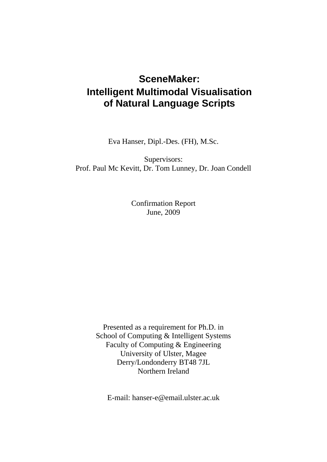# **SceneMaker: Intelligent Multimodal Visualisation of Natural Language Scripts**

Eva Hanser, Dipl.-Des. (FH), M.Sc.

Supervisors: Prof. Paul Mc Kevitt, Dr. Tom Lunney, Dr. Joan Condell

> Confirmation Report June, 2009

Presented as a requirement for Ph.D. in School of Computing & Intelligent Systems Faculty of Computing & Engineering University of Ulster, Magee Derry/Londonderry BT48 7JL Northern Ireland

E-mail: hanser-e@email.ulster.ac.uk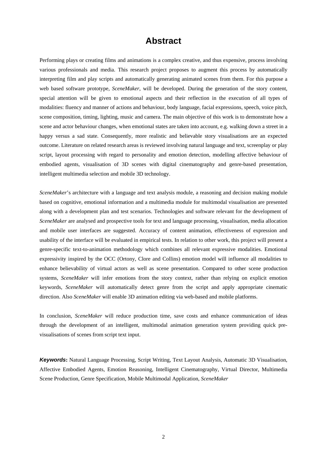# **Abstract**

Performing plays or creating films and animations is a complex creative, and thus expensive, process involving various professionals and media. This research project proposes to augment this process by automatically interpreting film and play scripts and automatically generating animated scenes from them. For this purpose a web based software prototype, *SceneMaker*, will be developed. During the generation of the story content, special attention will be given to emotional aspects and their reflection in the execution of all types of modalities: fluency and manner of actions and behaviour, body language, facial expressions, speech, voice pitch, scene composition, timing, lighting, music and camera. The main objective of this work is to demonstrate how a scene and actor behaviour changes, when emotional states are taken into account, e.g. walking down a street in a happy versus a sad state. Consequently, more realistic and believable story visualisations are an expected outcome. Literature on related research areas is reviewed involving natural language and text, screenplay or play script, layout processing with regard to personality and emotion detection, modelling affective behaviour of embodied agents, visualisation of 3D scenes with digital cinematography and genre-based presentation, intelligent multimedia selection and mobile 3D technology.

*SceneMaker*'s architecture with a language and text analysis module, a reasoning and decision making module based on cognitive, emotional information and a multimedia module for multimodal visualisation are presented along with a development plan and test scenarios. Technologies and software relevant for the development of *SceneMaker* are analysed and prospective tools for text and language processing, visualisation, media allocation and mobile user interfaces are suggested. Accuracy of content animation, effectiveness of expression and usability of the interface will be evaluated in empirical tests. In relation to other work, this project will present a genre-specific text-to-animation methodology which combines all relevant expressive modalities. Emotional expressivity inspired by the OCC (Ortony, Clore and Collins) emotion model will influence all modalities to enhance believability of virtual actors as well as scene presentation. Compared to other scene production systems, *SceneMaker* will infer emotions from the story context, rather than relying on explicit emotion keywords, *SceneMaker* will automatically detect genre from the script and apply appropriate cinematic direction. Also *SceneMaker* will enable 3D animation editing via web-based and mobile platforms.

In conclusion, *SceneMaker* will reduce production time, save costs and enhance communication of ideas through the development of an intelligent, multimodal animation generation system providing quick previsualisations of scenes from script text input.

*Keywords***:** Natural Language Processing, Script Writing, Text Layout Analysis, Automatic 3D Visualisation, Affective Embodied Agents, Emotion Reasoning, Intelligent Cinematography, Virtual Director, Multimedia Scene Production, Genre Specification, Mobile Multimodal Application, *SceneMaker*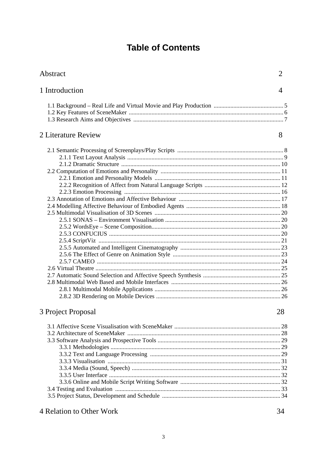# **Table of Contents**

| Abstract            |    |  |  |  |  |  |  |
|---------------------|----|--|--|--|--|--|--|
| 1 Introduction      | 4  |  |  |  |  |  |  |
|                     |    |  |  |  |  |  |  |
|                     |    |  |  |  |  |  |  |
| 2 Literature Review | 8  |  |  |  |  |  |  |
|                     |    |  |  |  |  |  |  |
|                     |    |  |  |  |  |  |  |
|                     |    |  |  |  |  |  |  |
|                     |    |  |  |  |  |  |  |
|                     |    |  |  |  |  |  |  |
|                     |    |  |  |  |  |  |  |
|                     |    |  |  |  |  |  |  |
|                     |    |  |  |  |  |  |  |
|                     |    |  |  |  |  |  |  |
|                     |    |  |  |  |  |  |  |
|                     |    |  |  |  |  |  |  |
|                     |    |  |  |  |  |  |  |
|                     |    |  |  |  |  |  |  |
|                     |    |  |  |  |  |  |  |
|                     |    |  |  |  |  |  |  |
|                     |    |  |  |  |  |  |  |
|                     |    |  |  |  |  |  |  |
|                     |    |  |  |  |  |  |  |
|                     |    |  |  |  |  |  |  |
| 3 Project Proposal  | 28 |  |  |  |  |  |  |
|                     |    |  |  |  |  |  |  |
|                     |    |  |  |  |  |  |  |
|                     |    |  |  |  |  |  |  |
|                     |    |  |  |  |  |  |  |
|                     |    |  |  |  |  |  |  |
|                     |    |  |  |  |  |  |  |
|                     |    |  |  |  |  |  |  |
|                     |    |  |  |  |  |  |  |
|                     |    |  |  |  |  |  |  |
|                     |    |  |  |  |  |  |  |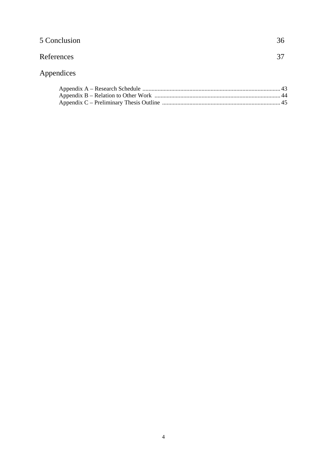| 5 Conclusion | 36 |
|--------------|----|
| References   | 37 |

# Appendices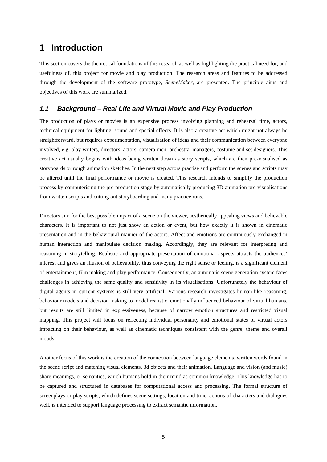# **1 Introduction**

This section covers the theoretical foundations of this research as well as highlighting the practical need for, and usefulness of, this project for movie and play production. The research areas and features to be addressed through the development of the software prototype, *SceneMaker*, are presented. The principle aims and objectives of this work are summarized.

# *1.1 Background – Real Life and Virtual Movie and Play Production*

The production of plays or movies is an expensive process involving planning and rehearsal time, actors, technical equipment for lighting, sound and special effects. It is also a creative act which might not always be straightforward, but requires experimentation, visualisation of ideas and their communication between everyone involved, e.g. play writers, directors, actors, camera men, orchestra, managers, costume and set designers. This creative act usually begins with ideas being written down as story scripts, which are then pre-visualised as storyboards or rough animation sketches. In the next step actors practise and perform the scenes and scripts may be altered until the final performance or movie is created. This research intends to simplify the production process by computerising the pre-production stage by automatically producing 3D animation pre-visualisations from written scripts and cutting out storyboarding and many practice runs.

Directors aim for the best possible impact of a scene on the viewer, aesthetically appealing views and believable characters. It is important to not just show an action or event, but how exactly it is shown in cinematic presentation and in the behavioural manner of the actors. Affect and emotions are continuously exchanged in human interaction and manipulate decision making. Accordingly, they are relevant for interpreting and reasoning in storytelling. Realistic and appropriate presentation of emotional aspects attracts the audiences' interest and gives an illusion of believability, thus conveying the right sense or feeling, is a significant element of entertainment, film making and play performance. Consequently, an automatic scene generation system faces challenges in achieving the same quality and sensitivity in its visualisations. Unfortunately the behaviour of digital agents in current systems is still very artificial. Various research investigates human-like reasoning, behaviour models and decision making to model realistic, emotionally influenced behaviour of virtual humans, but results are still limited in expressiveness, because of narrow emotion structures and restricted visual mapping. This project will focus on reflecting individual personality and emotional states of virtual actors impacting on their behaviour, as well as cinematic techniques consistent with the genre, theme and overall moods.

Another focus of this work is the creation of the connection between language elements, written words found in the scene script and matching visual elements, 3d objects and their animation. Language and vision (and music) share meanings, or semantics, which humans hold in their mind as common knowledge. This knowledge has to be captured and structured in databases for computational access and processing. The formal structure of screenplays or play scripts, which defines scene settings, location and time, actions of characters and dialogues well, is intended to support language processing to extract semantic information.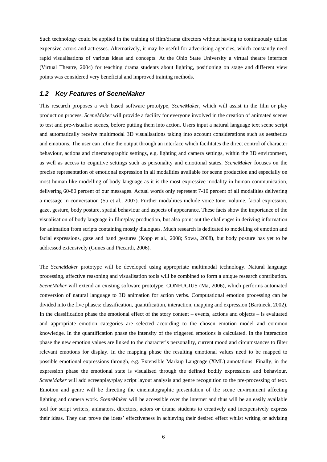Such technology could be applied in the training of film/drama directors without having to continuously utilise expensive actors and actresses. Alternatively, it may be useful for advertising agencies, which constantly need rapid visualisations of various ideas and concepts. At the Ohio State University a virtual theatre interface (Virtual Theatre, 2004) for teaching drama students about lighting, positioning on stage and different view points was considered very beneficial and improved training methods.

#### *1.2 Key Features of SceneMaker*

This research proposes a web based software prototype, *SceneMaker*, which will assist in the film or play production process. *SceneMaker* will provide a facility for everyone involved in the creation of animated scenes to test and pre-visualise scenes, before putting them into action. Users input a natural language text scene script and automatically receive multimodal 3D visualisations taking into account considerations such as aesthetics and emotions. The user can refine the output through an interface which facilitates the direct control of character behaviour, actions and cinematographic settings, e.g. lighting and camera settings, within the 3D environment, as well as access to cognitive settings such as personality and emotional states. *SceneMaker* focuses on the precise representation of emotional expression in all modalities available for scene production and especially on most human-like modelling of body language as it is the most expressive modality in human communication, delivering 60-80 percent of our messages. Actual words only represent 7-10 percent of all modalities delivering a message in conversation (Su et al., 2007). Further modalities include voice tone, volume, facial expression, gaze, gesture, body posture, spatial behaviour and aspects of appearance. These facts show the importance of the visualisation of body language in film/play production, but also point out the challenges in deriving information for animation from scripts containing mostly dialogues. Much research is dedicated to modelling of emotion and facial expressions, gaze and hand gestures (Kopp et al., 2008; Sowa, 2008), but body posture has yet to be addressed extensively (Gunes and Piccardi, 2006).

The *SceneMaker* prototype will be developed using appropriate multimodal technology. Natural language processing, affective reasoning and visualisation tools will be combined to form a unique research contribution. *SceneMaker* will extend an existing software prototype, CONFUCIUS (Ma, 2006), which performs automated conversion of natural language to 3D animation for action verbs. Computational emotion processing can be divided into the five phases: classification, quantification, interaction, mapping and expression (Bartneck, 2002). In the classification phase the emotional effect of the story content – events, actions and objects – is evaluated and appropriate emotion categories are selected according to the chosen emotion model and common knowledge. In the quantification phase the intensity of the triggered emotions is calculated. In the interaction phase the new emotion values are linked to the character's personality, current mood and circumstances to filter relevant emotions for display. In the mapping phase the resulting emotional values need to be mapped to possible emotional expressions through, e.g. Extensible Markup Language (XML) annotations. Finally, in the expression phase the emotional state is visualised through the defined bodily expressions and behaviour. *SceneMaker* will add screenplay/play script layout analysis and genre recognition to the pre-processing of text. Emotion and genre will be directing the cinematographic presentation of the scene environment affecting lighting and camera work. *SceneMaker* will be accessible over the internet and thus will be an easily available tool for script writers, animators, directors, actors or drama students to creatively and inexpensively express their ideas. They can prove the ideas' effectiveness in achieving their desired effect whilst writing or advising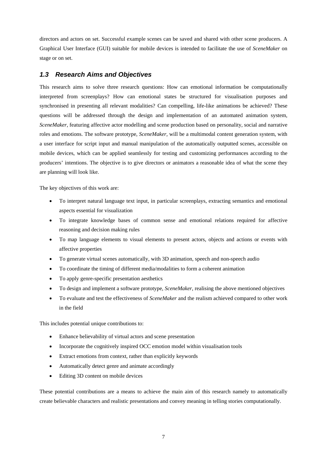directors and actors on set. Successful example scenes can be saved and shared with other scene producers. A Graphical User Interface (GUI) suitable for mobile devices is intended to facilitate the use of *SceneMaker* on stage or on set.

### *1.3 Research Aims and Objectives*

This research aims to solve three research questions: How can emotional information be computationally interpreted from screenplays? How can emotional states be structured for visualisation purposes and synchronised in presenting all relevant modalities? Can compelling, life-like animations be achieved? These questions will be addressed through the design and implementation of an automated animation system, *SceneMaker*, featuring affective actor modelling and scene production based on personality, social and narrative roles and emotions. The software prototype, *SceneMaker,* will be a multimodal content generation system, with a user interface for script input and manual manipulation of the automatically outputted scenes, accessible on mobile devices, which can be applied seamlessly for testing and customizing performances according to the producers' intentions. The objective is to give directors or animators a reasonable idea of what the scene they are planning will look like.

The key objectives of this work are:

- To interpret natural language text input, in particular screenplays, extracting semantics and emotional aspects essential for visualization
- To integrate knowledge bases of common sense and emotional relations required for affective reasoning and decision making rules
- To map language elements to visual elements to present actors, objects and actions or events with affective properties
- To generate virtual scenes automatically, with 3D animation, speech and non-speech audio
- To coordinate the timing of different media/modalities to form a coherent animation
- To apply genre-specific presentation aesthetics
- To design and implement a software prototype, *SceneMaker*, realising the above mentioned objectives
- To evaluate and test the effectiveness of *SceneMaker* and the realism achieved compared to other work in the field

This includes potential unique contributions to:

- Enhance believability of virtual actors and scene presentation
- Incorporate the cognitively inspired OCC emotion model within visualisation tools
- Extract emotions from context, rather than explicitly keywords
- Automatically detect genre and animate accordingly
- Editing 3D content on mobile devices

These potential contributions are a means to achieve the main aim of this research namely to automatically create believable characters and realistic presentations and convey meaning in telling stories computationally.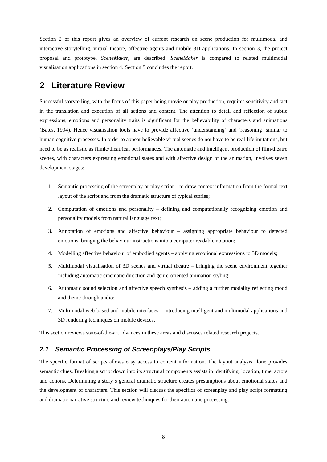Section 2 of this report gives an overview of current research on scene production for multimodal and interactive storytelling, virtual theatre, affective agents and mobile 3D applications. In section 3, the project proposal and prototype, *SceneMaker,* are described. *SceneMaker* is compared to related multimodal visualisation applications in section 4. Section 5 concludes the report.

# **2 Literature Review**

Successful storytelling, with the focus of this paper being movie or play production, requires sensitivity and tact in the translation and execution of all actions and content. The attention to detail and reflection of subtle expressions, emotions and personality traits is significant for the believability of characters and animations (Bates, 1994). Hence visualisation tools have to provide affective 'understanding' and 'reasoning' similar to human cognitive processes. In order to appear believable virtual scenes do not have to be real-life imitations, but need to be as realistic as filmic/theatrical performances. The automatic and intelligent production of film/theatre scenes, with characters expressing emotional states and with affective design of the animation, involves seven development stages:

- 1. Semantic processing of the screenplay or play script to draw context information from the formal text layout of the script and from the dramatic structure of typical stories;
- 2. Computation of emotions and personality defining and computationally recognizing emotion and personality models from natural language text;
- 3. Annotation of emotions and affective behaviour assigning appropriate behaviour to detected emotions, bringing the behaviour instructions into a computer readable notation;
- 4. Modelling affective behaviour of embodied agents applying emotional expressions to 3D models;
- 5. Multimodal visualisation of 3D scenes and virtual theatre bringing the scene environment together including automatic cinematic direction and genre-oriented animation styling;
- 6. Automatic sound selection and affective speech synthesis adding a further modality reflecting mood and theme through audio;
- 7. Multimodal web-based and mobile interfaces introducing intelligent and multimodal applications and 3D rendering techniques on mobile devices.

This section reviews state-of-the-art advances in these areas and discusses related research projects.

# *2.1 Semantic Processing of Screenplays/Play Scripts*

The specific format of scripts allows easy access to content information. The layout analysis alone provides semantic clues. Breaking a script down into its structural components assists in identifying, location, time, actors and actions. Determining a story's general dramatic structure creates presumptions about emotional states and the development of characters. This section will discuss the specifics of screenplay and play script formatting and dramatic narrative structure and review techniques for their automatic processing.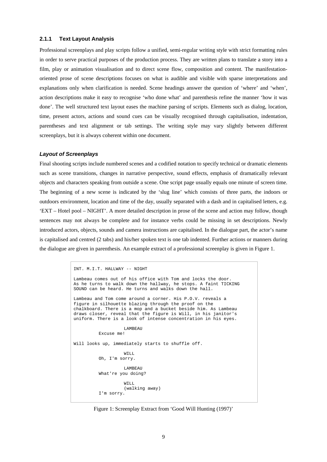#### **2.1.1 Text Layout Analysis**

Professional screenplays and play scripts follow a unified, semi-regular writing style with strict formatting rules in order to serve practical purposes of the production process. They are written plans to translate a story into a film, play or animation visualisation and to direct scene flow, composition and content. The manifestationoriented prose of scene descriptions focuses on what is audible and visible with sparse interpretations and explanations only when clarification is needed. Scene headings answer the question of 'where' and 'when', action descriptions make it easy to recognise 'who done what' and parenthesis refine the manner 'how it was done'. The well structured text layout eases the machine parsing of scripts. Elements such as dialog, location, time, present actors, actions and sound cues can be visually recognised through capitalisation, indentation, parentheses and text alignment or tab settings. The writing style may vary slightly between different screenplays, but it is always coherent within one document.

#### *Layout of Screenplays*

Final shooting scripts include numbered scenes and a codified notation to specify technical or dramatic elements such as scene transitions, changes in narrative perspective, sound effects, emphasis of dramatically relevant objects and characters speaking from outside a scene. One script page usually equals one minute of screen time. The beginning of a new scene is indicated by the 'slug line' which consists of three parts, the indoors or outdoors environment, location and time of the day, usually separated with a dash and in capitalised letters, e.g. 'EXT – Hotel pool – NIGHT'. A more detailed description in prose of the scene and action may follow, though sentences may not always be complete and for instance verbs could be missing in set descriptions. Newly introduced actors, objects, sounds and camera instructions are capitalised. In the dialogue part, the actor's name is capitalised and centred (2 tabs) and his/her spoken text is one tab indented. Further actions or manners during the dialogue are given in parenthesis. An example extract of a professional screenplay is given in Figure 1.

```
INT. M.I.T. HALLWAY -- NIGHT 
Lambeau comes out of his office with Tom and locks the door. 
As he turns to walk down the hallway, he stops. A faint TICKING 
SOUND can be heard. He turns and walks down the hall. 
Lambeau and Tom come around a corner. His P.O.V. reveals a 
figure in silhouette blazing through the proof on the 
chalkboard. There is a mop and a bucket beside him. As Lambeau 
draws closer, reveal that the figure is Will, in his janitor's 
uniform. There is a look of intense concentration in his eyes. 
                    LAMBEAU 
           Excuse me! 
Will looks up, immediately starts to shuffle off. 
                    WILL.
           Oh, I'm sorry. 
                    LAMBEAU 
           What're you doing? 
                     WILL 
                     (walking away) 
           I'm sorry.
```
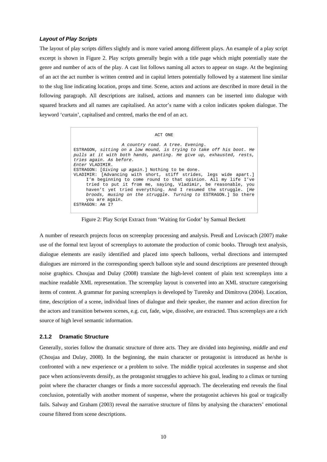#### *Layout of Play Scripts*

The layout of play scripts differs slightly and is more varied among different plays. An example of a play script excerpt is shown in Figure 2. Play scripts generally begin with a title page which might potentially state the genre and number of acts of the play. A cast list follows naming all actors to appear on stage. At the beginning of an act the act number is written centred and in capital letters potentially followed by a statement line similar to the slug line indicating location, props and time. Scene, actors and actions are described in more detail in the following paragraph. All descriptions are italised, actions and manners can be inserted into dialogue with squared brackets and all names are capitalised. An actor's name with a colon indicates spoken dialogue. The keyword 'curtain', capitalised and centred, marks the end of an act.

> ACT ONE *A country road. A tree. Evening*. ESTRAGON, *sitting on a low mound, is trying to take off his boot. He pulls at it with both hands, panting. He give up, exhausted, rests, tries again. As before. Enter* VLADIMIR. ESTRAGON: [*Giving up again.*] Nothing to be done. VLADIMIR: [Advancing with short, stiff strides, legs wide apart.] I'm beginning to come round to that opinion. All my life I've tried to put it from me, saying, Vladimir, be reasonable, you haven't yet tried everything. And I resumed the struggle. [*He broods, musing on the struggle. Turning to* ESTRAGON*.*] So there you are again. ESTRAGON: Am I?

Figure 2: Play Script Extract from 'Waiting for Godot' by Samual Beckett

A number of research projects focus on screenplay processing and analysis. Preuß and Loviscach (2007) make use of the formal text layout of screenplays to automate the production of comic books. Through text analysis, dialogue elements are easily identified and placed into speech balloons, verbal directions and interrupted dialogues are mirrored in the corresponding speech balloon style and sound descriptions are presented through noise graphics. Choujaa and Dulay (2008) translate the high-level content of plain text screenplays into a machine readable XML representation. The screenplay layout is converted into an XML structure categorising items of content. A grammar for parsing screenplays is developed by Turetsky and Dimitrova (2004). Location, time, description of a scene, individual lines of dialogue and their speaker, the manner and action direction for the actors and transition between scenes, e.g. cut, fade, wipe, dissolve, are extracted. Thus screenplays are a rich source of high level semantic information.

#### **2.1.2 Dramatic Structure**

Generally, stories follow the dramatic structure of three acts. They are divided into *beginning*, *middle* and *end*  (Choujaa and Dulay, 2008). In the beginning, the main character or protagonist is introduced as he/she is confronted with a new experience or a problem to solve. The middle typical accelerates in suspense and shot pace when actions/events densify, as the protagonist struggles to achieve his goal, leading to a climax or turning point where the character changes or finds a more successful approach. The decelerating end reveals the final conclusion, potentially with another moment of suspense, where the protagonist achieves his goal or tragically fails. Salway and Graham (2003) reveal the narrative structure of films by analysing the characters' emotional course filtered from scene descriptions.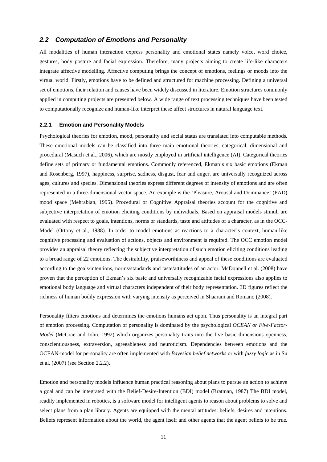### *2.2 Computation of Emotions and Personality*

All modalities of human interaction express personality and emotional states namely voice, word choice, gestures, body posture and facial expression. Therefore, many projects aiming to create life-like characters integrate affective modelling. Affective computing brings the concept of emotions, feelings or moods into the virtual world. Firstly, emotions have to be defined and structured for machine processing. Defining a universal set of emotions, their relation and causes have been widely discussed in literature. Emotion structures commonly applied in computing projects are presented below. A wide range of text processing techniques have been tested to computationally recognize and human-like interpret these affect structures in natural language text.

#### **2.2.1 Emotion and Personality Models**

Psychological theories for emotion, mood, personality and social status are translated into computable methods. These emotional models can be classified into three main emotional theories, categorical, dimensional and procedural (Masuch et al., 2006), which are mostly employed in artificial intelligence (AI). Categorical theories define sets of primary or fundamental emotions. Commonly referenced, Ekman's six basic emotions (Ekman and Rosenberg, 1997), happiness, surprise, sadness, disgust, fear and anger, are universally recognized across ages, cultures and species. Dimensional theories express different degrees of intensity of emotions and are often represented in a three-dimensional vector space. An example is the 'Pleasure, Arousal and Dominance' (PAD) mood space (Mehrabian, 1995). Procedural or Cognitive Appraisal theories account for the cognitive and subjective interpretation of emotion eliciting conditions by individuals. Based on appraisal models stimuli are evaluated with respect to goals, intentions, norms or standards, taste and attitudes of a character, as in the OCC-Model (Ortony et al., 1988). In order to model emotions as reactions to a character's context, human-like cognitive processing and evaluation of actions, objects and environment is required. The OCC emotion model provides an appraisal theory reflecting the subjective interpretation of such emotion eliciting conditions leading to a broad range of 22 emotions. The desirability, praiseworthiness and appeal of these conditions are evaluated according to the goals/intentions, norms/standards and taste/attitudes of an actor. McDonnell et al. (2008) have proven that the perception of Ekman's six basic and universally recognizable facial expressions also applies to emotional body language and virtual characters independent of their body representation. 3D figures reflect the richness of human bodily expression with varying intensity as perceived in Shaarani and Romano (2008).

Personality filters emotions and determines the emotions humans act upon. Thus personality is an integral part of emotion processing. Computation of personality is dominated by the psychological *OCEAN or Five-Factor-Model* (McCrae and John, 1992) which organizes personality traits into the five basic dimensions openness, conscientiousness, extraversion, agreeableness and neuroticism. Dependencies between emotions and the OCEAN-model for personality are often implemented with *Bayesian belief networks* or with *fuzzy logic* as in Su et al. (2007) (see Section 2.2.2).

Emotion and personality models influence human practical reasoning about plans to pursue an action to achieve a goal and can be integrated with the Belief-Desire-Intention (BDI) model (Bratman, 1987) The BDI model, readily implemented in robotics, is a software model for intelligent agents to reason about problems to solve and select plans from a plan library. Agents are equipped with the mental attitudes: beliefs, desires and intentions. Beliefs represent information about the world, the agent itself and other agents that the agent beliefs to be true.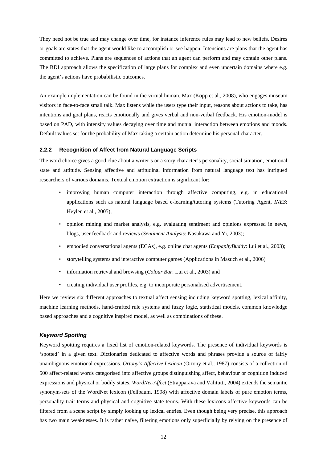They need not be true and may change over time, for instance inference rules may lead to new beliefs. Desires or goals are states that the agent would like to accomplish or see happen. Intensions are plans that the agent has committed to achieve. Plans are sequences of actions that an agent can perform and may contain other plans. The BDI approach allows the specification of large plans for complex and even uncertain domains where e.g. the agent's actions have probabilistic outcomes.

An example implementation can be found in the virtual human, Max (Kopp et al., 2008), who engages museum visitors in face-to-face small talk. Max listens while the users type their input, reasons about actions to take, has intentions and goal plans, reacts emotionally and gives verbal and non-verbal feedback. His emotion-model is based on PAD, with intensity values decaying over time and mutual interaction between emotions and moods. Default values set for the probability of Max taking a certain action determine his personal character.

#### **2.2.2 Recognition of Affect from Natural Language Scripts**

The word choice gives a good clue about a writer's or a story character's personality, social situation, emotional state and attitude. Sensing affective and attitudinal information from natural language text has intrigued researchers of various domains. Textual emotion extraction is significant for:

- improving human computer interaction through affective computing, e.g. in educational applications such as natural language based e-learning/tutoring systems (Tutoring Agent, *INES*: Heylen et al., 2005);
- opinion mining and market analysis, e.g. evaluating sentiment and opinions expressed in news, blogs, user feedback and reviews (*Sentiment Analysis*: Nasukawa and Yi, 2003);
- embodied conversational agents (ECAs), e.g. online chat agents (*EmpaphyBuddy*: Lui et al., 2003);
- storytelling systems and interactive computer games (Applications in Masuch et al., 2006)
- information retrieval and browsing (*Colour Bar*: Lui et al., 2003) and
- creating individual user profiles, e.g. to incorporate personalised advertisement.

Here we review six different approaches to textual affect sensing including keyword spotting, lexical affinity, machine learning methods, hand-crafted rule systems and fuzzy logic, statistical models, common knowledge based approaches and a cognitive inspired model, as well as combinations of these.

#### *Keyword Spotting*

Keyword spotting requires a fixed list of emotion-related keywords. The presence of individual keywords is 'spotted' in a given text. Dictionaries dedicated to affective words and phrases provide a source of fairly unambiguous emotional expressions. *Ortony's Affective Lexicon* (Ortony et al., 1987) consists of a collection of 500 affect-related words categorised into affective groups distinguishing affect, behaviour or cognition induced expressions and physical or bodily states. *WordNet-Affect* (Strapparava and Valitutti, 2004) extends the semantic synonym-sets of the WordNet lexicon (Fellbaum, 1998) with affective domain labels of pure emotion terms, personality trait terms and physical and cognitive state terms. With these lexicons affective keywords can be filtered from a scene script by simply looking up lexical entries. Even though being very precise, this approach has two main weaknesses. It is rather naïve, filtering emotions only superficially by relying on the presence of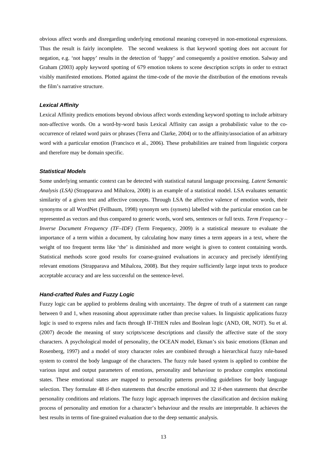obvious affect words and disregarding underlying emotional meaning conveyed in non-emotional expressions. Thus the result is fairly incomplete. The second weakness is that keyword spotting does not account for negation, e.g. 'not happy' results in the detection of 'happy' and consequently a positive emotion. Salway and Graham (2003) apply keyword spotting of 679 emotion tokens to scene description scripts in order to extract visibly manifested emotions. Plotted against the time-code of the movie the distribution of the emotions reveals the film's narrative structure.

#### *Lexical Affinity*

Lexical Affinity predicts emotions beyond obvious affect words extending keyword spotting to include arbitrary non-affective words. On a word-by-word basis Lexical Affinity can assign a probabilistic value to the cooccurrence of related word pairs or phrases (Terra and Clarke, 2004) or to the affinity/association of an arbitrary word with a particular emotion (Francisco et al., 2006). These probabilities are trained from linguistic corpora and therefore may be domain specific.

#### *Statistical Models*

Some underlying semantic context can be detected with statistical natural language processing. *Latent Semantic Analysis (LSA)* (Strapparava and Mihalcea, 2008) is an example of a statistical model. LSA evaluates semantic similarity of a given text and affective concepts. Through LSA the affective valence of emotion words, their synonyms or all WordNet (Fellbaum, 1998) synonym sets (synsets) labelled with the particular emotion can be represented as vectors and thus compared to generic words, word sets, sentences or full texts. *Term Frequency – Inverse Document Frequency (TF–IDF)* (Term Frequency, 2009) is a statistical measure to evaluate the importance of a term within a document, by calculating how many times a term appears in a text, where the weight of too frequent terms like 'the' is diminished and more weight is given to content containing words. Statistical methods score good results for coarse-grained evaluations in accuracy and precisely identifying relevant emotions (Strapparava and Mihalcea, 2008). But they require sufficiently large input texts to produce acceptable accuracy and are less successful on the sentence-level.

#### *Hand-crafted Rules and Fuzzy Logic*

Fuzzy logic can be applied to problems dealing with uncertainty. The degree of truth of a statement can range between 0 and 1, when reasoning about approximate rather than precise values. In linguistic applications fuzzy logic is used to express rules and facts through IF-THEN rules and Boolean logic (AND, OR, NOT). Su et al. (2007) decode the meaning of story scripts/scene descriptions and classify the affective state of the story characters. A psychological model of personality, the OCEAN model, Ekman's six basic emotions (Ekman and Rosenberg, 1997) and a model of story character roles are combined through a hierarchical fuzzy rule-based system to control the body language of the characters. The fuzzy rule based system is applied to combine the various input and output parameters of emotions, personality and behaviour to produce complex emotional states. These emotional states are mapped to personality patterns providing guidelines for body language selection. They formulate 48 if-then statements that describe emotional and 32 if-then statements that describe personality conditions and relations. The fuzzy logic approach improves the classification and decision making process of personality and emotion for a character's behaviour and the results are interpretable. It achieves the best results in terms of fine-grained evaluation due to the deep semantic analysis.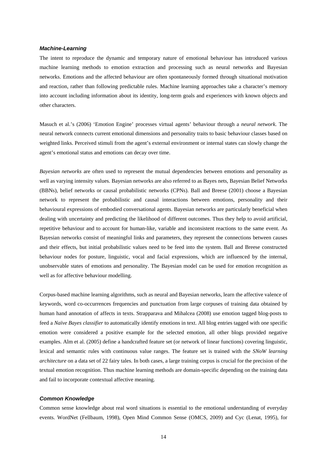#### *Machine-Learning*

The intent to reproduce the dynamic and temporary nature of emotional behaviour has introduced various machine learning methods to emotion extraction and processing such as neural networks and Bayesian networks. Emotions and the affected behaviour are often spontaneously formed through situational motivation and reaction, rather than following predictable rules. Machine learning approaches take a character's memory into account including information about its identity, long-term goals and experiences with known objects and other characters.

Masuch et al.'s (2006) 'Emotion Engine' processes virtual agents' behaviour through a *neural network*. The neural network connects current emotional dimensions and personality traits to basic behaviour classes based on weighted links. Perceived stimuli from the agent's external environment or internal states can slowly change the agent's emotional status and emotions can decay over time.

*Bayesian networks* are often used to represent the mutual dependencies between emotions and personality as well as varying intensity values. Bayesian networks are also referred to as Bayes nets, Bayesian Belief Networks (BBNs), belief networks or causal probabilistic networks (CPNs). Ball and Breese (2001) choose a Bayesian network to represent the probabilistic and causal interactions between emotions, personality and their behavioural expressions of embodied conversational agents. Bayesian networks are particularly beneficial when dealing with uncertainty and predicting the likelihood of different outcomes. Thus they help to avoid artificial, repetitive behaviour and to account for human-like, variable and inconsistent reactions to the same event. As Bayesian networks consist of meaningful links and parameters, they represent the connections between causes and their effects, but initial probabilistic values need to be feed into the system. Ball and Breese constructed behaviour nodes for posture, linguistic, vocal and facial expressions, which are influenced by the internal, unobservable states of emotions and personality. The Bayesian model can be used for emotion recognition as well as for affective behaviour modelling.

Corpus-based machine learning algorithms, such as neural and Bayesian networks, learn the affective valence of keywords, word co-occurrences frequencies and punctuation from large corpuses of training data obtained by human hand annotation of affects in texts. Strapparava and Mihalcea (2008) use emotion tagged blog-posts to feed a *Naïve Bayes classifier* to automatically identify emotions in text. All blog entries tagged with one specific emotion were considered a positive example for the selected emotion, all other blogs provided negative examples. Alm et al. (2005) define a handcrafted feature set (or network of linear functions) covering linguistic, lexical and semantic rules with continuous value ranges. The feature set is trained with the *SNoW learning architecture* on a data set of 22 fairy tales. In both cases, a large training corpus is crucial for the precision of the textual emotion recognition. Thus machine learning methods are domain-specific depending on the training data and fail to incorporate contextual affective meaning.

#### *Common Knowledge*

Common sense knowledge about real word situations is essential to the emotional understanding of everyday events. WordNet (Fellbaum, 1998), Open Mind Common Sense (OMCS, 2009) and Cyc (Lenat, 1995), for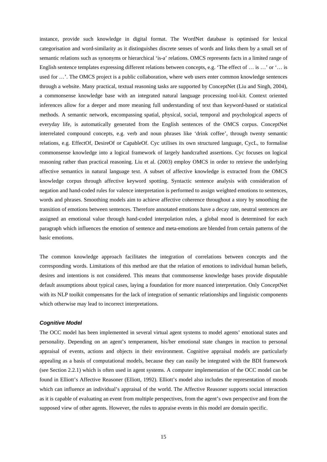instance, provide such knowledge in digital format. The WordNet database is optimised for lexical categorisation and word-similarity as it distinguishes discrete senses of words and links them by a small set of semantic relations such as synonyms or hierarchical 'is-a' relations. OMCS represents facts in a limited range of English sentence templates expressing different relations between concepts, e.g. 'The effect of … is …' or '… is used for ...'. The OMCS project is a public collaboration, where web users enter common knowledge sentences through a website. Many practical, textual reasoning tasks are supported by ConceptNet (Liu and Singh, 2004), a commonsense knowledge base with an integrated natural language processing tool-kit. Context oriented inferences allow for a deeper and more meaning full understanding of text than keyword-based or statistical methods. A semantic network, encompassing spatial, physical, social, temporal and psychological aspects of everyday life, is automatically generated from the English sentences of the OMCS corpus. ConceptNet interrelated compound concepts, e.g. verb and noun phrases like 'drink coffee', through twenty semantic relations, e.g. EffectOf, DesireOf or CapableOf. Cyc utilises its own structured language, CycL, to formalise commonsense knowledge into a logical framework of largely handcrafted assertions. Cyc focuses on logical reasoning rather than practical reasoning. Liu et al. (2003) employ OMCS in order to retrieve the underlying affective semantics in natural language text. A subset of affective knowledge is extracted from the OMCS knowledge corpus through affective keyword spotting. Syntactic sentence analysis with consideration of negation and hand-coded rules for valence interpretation is performed to assign weighted emotions to sentences, words and phrases. Smoothing models aim to achieve affective coherence throughout a story by smoothing the transition of emotions between sentences. Therefore annotated emotions have a decay rate, neutral sentences are assigned an emotional value through hand-coded interpolation rules, a global mood is determined for each paragraph which influences the emotion of sentence and meta-emotions are blended from certain patterns of the basic emotions.

The common knowledge approach facilitates the integration of correlations between concepts and the corresponding words. Limitations of this method are that the relation of emotions to individual human beliefs, desires and intentions is not considered. This means that commonsense knowledge bases provide disputable default assumptions about typical cases, laying a foundation for more nuanced interpretation. Only ConceptNet with its NLP toolkit compensates for the lack of integration of semantic relationships and linguistic components which otherwise may lead to incorrect interpretations.

#### *Cognitive Model*

The OCC model has been implemented in several virtual agent systems to model agents' emotional states and personality. Depending on an agent's temperament, his/her emotional state changes in reaction to personal appraisal of events, actions and objects in their environment. Cognitive appraisal models are particularly appealing as a basis of computational models, because they can easily be integrated with the BDI framework (see Section 2.2.1) which is often used in agent systems. A computer implementation of the OCC model can be found in Elliott's Affective Reasoner (Elliott, 1992). Elliott's model also includes the representation of moods which can influence an individual's appraisal of the world. The Affective Reasoner supports social interaction as it is capable of evaluating an event from multiple perspectives, from the agent's own perspective and from the supposed view of other agents. However, the rules to appraise events in this model are domain specific.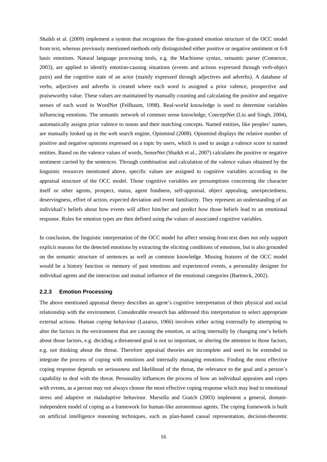Shaikh et al. (2009) implement a system that recognises the fine-grained emotion structure of the OCC model from text, whereas previously mentioned methods only distinguished either positive or negative sentiment or 6-8 basic emotions. Natural language processing tools, e.g. the Machinese syntax, semantic parser (Connexor, 2003), are applied to identify emotion-causing situations (events and actions expressed through verb-object pairs) and the cognitive state of an actor (mainly expressed through adjectives and adverbs). A database of verbs, adjectives and adverbs is created where each word is assigned a prior valence, prospective and praiseworthy value. These values are maintained by manually counting and calculating the positive and negative senses of each word in WordNet (Fellbaum, 1998). Real-world knowledge is used to determine variables influencing emotions. The semantic network of common sense knowledge, ConceptNet (Liu and Singh, 2004), automatically assigns prior valence to nouns and their matching concepts. Named entities, like peoples' names, are manually looked up in the web search engine, Opinmind (2008). Opinmind displays the relative number of positive and negative opinions expressed on a topic by users, which is used to assign a valence score to named entities. Based on the valence values of words, SenseNet (Shaikh et al., 2007) calculates the positive or negative sentiment carried by the sentences. Through combination and calculation of the valence values obtained by the linguistic resources mentioned above, specific values are assigned to cognitive variables according to the appraisal structure of the OCC model. Those cognitive variables are presumptions concerning the character itself or other agents, prospect, status, agent fondness, self-appraisal, object appealing, unexpectedness, deservingness, effort of action, expected deviation and event familiarity. They represent an understanding of an individual's beliefs about how events will affect him/her and predict how those beliefs lead to an emotional response. Rules for emotion types are then defined using the values of associated cognitive variables.

In conclusion, the linguistic interpretation of the OCC model for affect sensing from text does not only support explicit reasons for the detected emotions by extracting the eliciting conditions of emotions, but is also grounded on the semantic structure of sentences as well as common knowledge. Missing features of the OCC model would be a history function or memory of past emotions and experienced events, a personality designer for individual agents and the interaction and mutual influence of the emotional categories (Bartneck, 2002).

#### **2.2.3 Emotion Processing**

The above mentioned appraisal theory describes an agent's cognitive interpretation of their physical and social relationship with the environment. Considerable research has addressed this interpretation to select appropriate external actions. Human *coping* behaviour (Lazarus, 1966) involves either acting externally by attempting to alter the factors in the environment that are causing the emotion, or acting internally by changing one's beliefs about those factors, e.g. deciding a threatened goal is not so important, or altering the attention to those factors, e.g. not thinking about the threat. Therefore appraisal theories are incomplete and need to be extended to integrate the process of coping with emotions and internally managing emotions. Finding the most effective coping response depends on seriousness and likelihood of the threat, the relevance to the goal and a person's capability to deal with the threat. Personality influences the process of how an individual appraises and copes with events, as a person may not always choose the most effective coping response which may lead to emotional stress and adaptive or maladaptive behaviour. Marsella and Gratch (2003) implement a general, domainindependent model of coping as a framework for human-like autonomous agents. The coping framework is built on artificial intelligence reasoning techniques, such as plan-based causal representation, decision-theoretic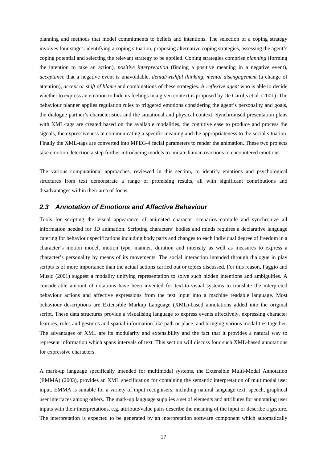planning and methods that model commitments to beliefs and intentions. The selection of a coping strategy involves four stages: identifying a coping situation, proposing alternative coping strategies, assessing the agent's coping potential and selecting the relevant strategy to be applied. Coping strategies comprise *planning* (forming the intention to take an action), *positive interpretation* (finding a positive meaning in a negative event), *acceptance* that a negative event is unavoidable, *denial/wishful thinking*, *mental disengagement* (a change of attention), *accept or shift of blame* and combinations of these strategies. A *reflexive agent* who is able to decide whether to express an emotion to hide its feelings in a given context is proposed by De Carolis et al. (2001). The behaviour planner applies regulation rules to triggered emotions considering the agent's personality and goals, the dialogue partner's characteristics and the situational and physical context. Synchronised presentation plans with XML-tags are created based on the available modalities, the cognitive ease to produce and process the signals, the expressiveness in communicating a specific meaning and the appropriateness to the social situation. Finally the XML-tags are converted into MPEG-4 facial parameters to render the animation. These two projects take emotion detection a step further introducing models to imitate human reactions to encountered emotions.

The various computational approaches, reviewed in this section, to identify emotions and psychological structures from text demonstrate a range of promising results, all with significant contributions and disadvantages within their area of focus.

### *2.3 Annotation of Emotions and Affective Behaviour*

Tools for scripting the visual appearance of animated character scenarios compile and synchronize all information needed for 3D animation. Scripting characters' bodies and minds requires a declarative language catering for behaviour specifications including body parts and changes to each individual degree of freedom in a character's motion model, motion type, manner, duration and intensity as well as measures to express a character's personality by means of its movements. The social interaction intended through dialogue in play scripts is of more importance than the actual actions carried out or topics discussed. For this reason, Paggio and Music (2001) suggest a modality unifying representation to solve such hidden intentions and ambiguities. A considerable amount of notations have been invented for text-to-visual systems to translate the interpreted behaviour actions and affective expressions from the text input into a machine readable language. Most behaviour descriptions are Extensible Markup Language (XML)-based annotations added into the original script. These data structures provide a visualising language to express events affectively, expressing character features, roles and gestures and spatial information like path or place, and bringing various modalities together. The advantages of XML are its modularity and extensibility and the fact that it provides a natural way to represent information which spans intervals of text. This section will discuss four such XML-based annotations for expressive characters.

A mark-up language specifically intended for multimodal systems, the Extensible Multi-Modal Annotation (EMMA) (2003), provides an XML specification for containing the semantic interpretation of multimodal user input. EMMA is suitable for a variety of input recognisers, including natural language text, speech, graphical user interfaces among others. The mark-up language supplies a set of elements and attributes for annotating user inputs with their interpretations, e.g. attribute/value pairs describe the meaning of the input or describe a gesture. The interpretation is expected to be generated by an interpretation software component which automatically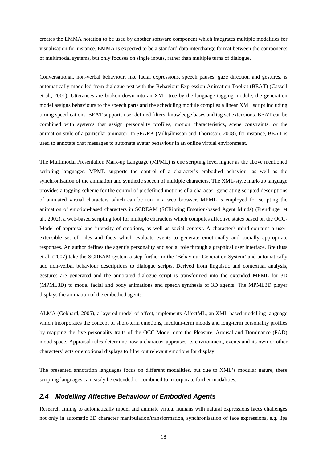creates the EMMA notation to be used by another software component which integrates multiple modalities for visualisation for instance. EMMA is expected to be a standard data interchange format between the components of multimodal systems, but only focuses on single inputs, rather than multiple turns of dialogue.

Conversational, non-verbal behaviour, like facial expressions, speech pauses, gaze direction and gestures, is automatically modelled from dialogue text with the Behaviour Expression Animation Toolkit (BEAT) (Cassell et al., 2001). Utterances are broken down into an XML tree by the language tagging module, the generation model assigns behaviours to the speech parts and the scheduling module compiles a linear XML script including timing specifications. BEAT supports user defined filters, knowledge bases and tag set extensions. BEAT can be combined with systems that assign personality profiles, motion characteristics, scene constraints, or the animation style of a particular animator. In SPARK (Vilhjálmsson and Thórisson, 2008), for instance, BEAT is used to annotate chat messages to automate avatar behaviour in an online virtual environment.

The Multimodal Presentation Mark-up Language (MPML) is one scripting level higher as the above mentioned scripting languages. MPML supports the control of a character's embodied behaviour as well as the synchronisation of the animation and synthetic speech of multiple characters. The XML-style mark-up language provides a tagging scheme for the control of predefined motions of a character, generating scripted descriptions of animated virtual characters which can be run in a web browser. MPML is employed for scripting the animation of emotion-based characters in SCREAM (SCRipting Emotion-based Agent Minds) (Prendinger et al., 2002), a web-based scripting tool for multiple characters which computes affective states based on the OCC-Model of appraisal and intensity of emotions, as well as social context. A character's mind contains a userextensible set of rules and facts which evaluate events to generate emotionally and socially appropriate responses. An author defines the agent's personality and social role through a graphical user interface. Breitfuss et al. (2007) take the SCREAM system a step further in the 'Behaviour Generation System' and automatically add non-verbal behaviour descriptions to dialogue scripts. Derived from linguistic and contextual analysis, gestures are generated and the annotated dialogue script is transformed into the extended MPML for 3D (MPML3D) to model facial and body animations and speech synthesis of 3D agents. The MPML3D player displays the animation of the embodied agents.

ALMA (Gebhard, 2005), a layered model of affect, implements AffectML, an XML based modelling language which incorporates the concept of short-term emotions, medium-term moods and long-term personality profiles by mapping the five personality traits of the OCC-Model onto the Pleasure, Arousal and Dominance (PAD) mood space. Appraisal rules determine how a character appraises its environment, events and its own or other characters' acts or emotional displays to filter out relevant emotions for display.

The presented annotation languages focus on different modalities, but due to XML's modular nature, these scripting languages can easily be extended or combined to incorporate further modalities.

### *2.4 Modelling Affective Behaviour of Embodied Agents*

Research aiming to automatically model and animate virtual humans with natural expressions faces challenges not only in automatic 3D character manipulation/transformation, synchronisation of face expressions, e.g. lips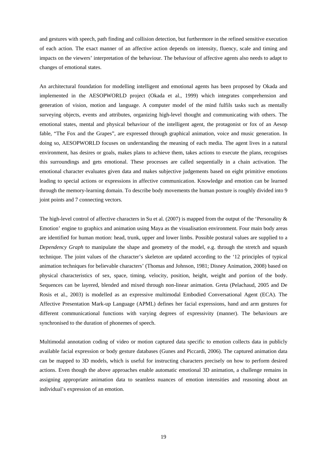and gestures with speech, path finding and collision detection, but furthermore in the refined sensitive execution of each action. The exact manner of an affective action depends on intensity, fluency, scale and timing and impacts on the viewers' interpretation of the behaviour. The behaviour of affective agents also needs to adapt to changes of emotional states.

An architectural foundation for modelling intelligent and emotional agents has been proposed by Okada and implemented in the AESOPWORLD project (Okada et al., 1999) which integrates comprehension and generation of vision, motion and language. A computer model of the mind fulfils tasks such as mentally surveying objects, events and attributes, organizing high-level thought and communicating with others. The emotional states, mental and physical behaviour of the intelligent agent, the protagonist or fox of an Aesop fable, "The Fox and the Grapes", are expressed through graphical animation, voice and music generation. In doing so, AESOPWORLD focuses on understanding the meaning of each media. The agent lives in a natural environment, has desires or goals, makes plans to achieve them, takes actions to execute the plans, recognises this surroundings and gets emotional. These processes are called sequentially in a chain activation. The emotional character evaluates given data and makes subjective judgements based on eight primitive emotions leading to special actions or expressions in affective communication. Knowledge and emotion can be learned through the memory-learning domain. To describe body movements the human posture is roughly divided into 9 joint points and 7 connecting vectors.

The high-level control of affective characters in Su et al. (2007) is mapped from the output of the 'Personality & Emotion' engine to graphics and animation using Maya as the visualisation environment. Four main body areas are identified for human motion: head, trunk, upper and lower limbs. Possible postural values are supplied to a *Dependency Graph* to manipulate the shape and geometry of the model, e.g. through the stretch and squash technique. The joint values of the character's skeleton are updated according to the '12 principles of typical animation techniques for believable characters' (Thomas and Johnson, 1981; Disney Animation, 2008) based on physical characteristics of sex, space, timing, velocity, position, height, weight and portion of the body. Sequences can be layered, blended and mixed through non-linear animation. Greta (Pelachaud, 2005 and De Rosis et al., 2003) is modelled as an expressive multimodal Embodied Conversational Agent (ECA). The Affective Presentation Mark-up Language (APML) defines her facial expressions, hand and arm gestures for different communicational functions with varying degrees of expressivity (manner). The behaviours are synchronised to the duration of phonemes of speech.

Multimodal annotation coding of video or motion captured data specific to emotion collects data in publicly available facial expression or body gesture databases (Gunes and Piccardi, 2006). The captured animation data can be mapped to 3D models, which is useful for instructing characters precisely on how to perform desired actions. Even though the above approaches enable automatic emotional 3D animation, a challenge remains in assigning appropriate animation data to seamless nuances of emotion intensities and reasoning about an individual's expression of an emotion.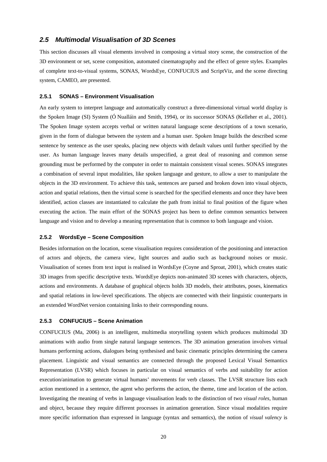## *2.5 Multimodal Visualisation of 3D Scenes*

This section discusses all visual elements involved in composing a virtual story scene, the construction of the 3D environment or set, scene composition, automated cinematography and the effect of genre styles. Examples of complete text-to-visual systems, SONAS, WordsEye, CONFUCIUS and ScriptViz, and the scene directing system, CAMEO, are presented.

#### **2.5.1 SONAS – Environment Visualisation**

An early system to interpret language and automatically construct a three-dimensional virtual world display is the Spoken Image (SI) System (Ó Nualláin and Smith, 1994), or its successor SONAS (Kelleher et al., 2001). The Spoken Image system accepts verbal or written natural language scene descriptions of a town scenario, given in the form of dialogue between the system and a human user. Spoken Image builds the described scene sentence by sentence as the user speaks, placing new objects with default values until further specified by the user. As human language leaves many details unspecified, a great deal of reasoning and common sense grounding must be performed by the computer in order to maintain consistent visual scenes. SONAS integrates a combination of several input modalities, like spoken language and gesture, to allow a user to manipulate the objects in the 3D environment. To achieve this task, sentences are parsed and broken down into visual objects, action and spatial relations, then the virtual scene is searched for the specified elements and once they have been identified, action classes are instantiated to calculate the path from initial to final position of the figure when executing the action. The main effort of the SONAS project has been to define common semantics between language and vision and to develop a meaning representation that is common to both language and vision.

#### **2.5.2 WordsEye – Scene Composition**

Besides information on the location, scene visualisation requires consideration of the positioning and interaction of actors and objects, the camera view, light sources and audio such as background noises or music. Visualisation of scenes from text input is realised in WordsEye (Coyne and Sproat, 2001), which creates static 3D images from specific descriptive texts. WordsEye depicts non-animated 3D scenes with characters, objects, actions and environments. A database of graphical objects holds 3D models, their attributes, poses, kinematics and spatial relations in low-level specifications. The objects are connected with their linguistic counterparts in an extended WordNet version containing links to their corresponding nouns.

#### **2.5.3 CONFUCIUS – Scene Animation**

CONFUCIUS (Ma, 2006) is an intelligent, multimedia storytelling system which produces multimodal 3D animations with audio from single natural language sentences. The 3D animation generation involves virtual humans performing actions, dialogues being synthesised and basic cinematic principles determining the camera placement. Linguistic and visual semantics are connected through the proposed Lexical Visual Semantics Representation (LVSR) which focuses in particular on visual semantics of verbs and suitability for action execution/animation to generate virtual humans' movements for verb classes. The LVSR structure lists each action mentioned in a sentence, the agent who performs the action, the theme, time and location of the action. Investigating the meaning of verbs in language visualisation leads to the distinction of two *visual roles*, human and object, because they require different processes in animation generation. Since visual modalities require more specific information than expressed in language (syntax and semantics), the notion of *visual valency* is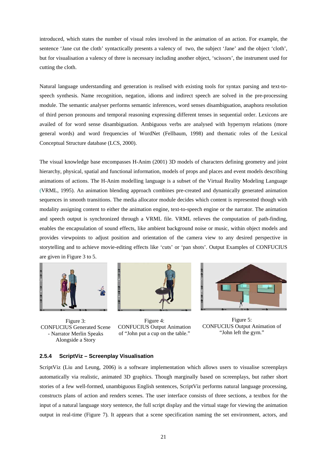introduced, which states the number of visual roles involved in the animation of an action. For example, the sentence 'Jane cut the cloth' syntactically presents a valency of two, the subject 'Jane' and the object 'cloth', but for visualisation a valency of three is necessary including another object, 'scissors', the instrument used for cutting the cloth.

Natural language understanding and generation is realised with existing tools for syntax parsing and text-tospeech synthesis. Name recognition, negation, idioms and indirect speech are solved in the pre-processing module. The semantic analyser performs semantic inferences, word senses disambiguation, anaphora resolution of third person pronouns and temporal reasoning expressing different tenses in sequential order. Lexicons are availed of for word sense disambiguation. Ambiguous verbs are analysed with hypernym relations (more general words) and word frequencies of WordNet (Fellbaum, 1998) and thematic roles of the Lexical Conceptual Structure database (LCS, 2000).

The visual knowledge base encompasses H-Anim (2001) 3D models of characters defining geometry and joint hierarchy, physical, spatial and functional information, models of props and places and event models describing animations of actions. The H-Anim modelling language is a subset of the Virtual Reality Modeling Language (VRML, 1995). An animation blending approach combines pre-created and dynamically generated animation sequences in smooth transitions. The media allocator module decides which content is represented though with modality assigning content to either the animation engine, text-to-speech engine or the narrator. The animation and speech output is synchronized through a VRML file. VRML relieves the computation of path-finding, enables the encapsulation of sound effects, like ambient background noise or music, within object models and provides viewpoints to adjust position and orientation of the camera view to any desired perspective in storytelling and to achieve movie-editing effects like 'cuts' or 'pan shots'. Output Examples of CONFUCIUS are given in Figure 3 to 5.



Figure 3: CONFUCIUS Generated Scene - Narrator Merlin Speaks Alongside a Story



Figure 4: CONFUCIUS Output Animation of "John put a cup on the table."



Figure 5: CONFUCIUS Output Animation of "John left the gym."

#### **2.5.4 ScriptViz – Screenplay Visualisation**

ScriptViz (Liu and Leung, 2006) is a software implementation which allows users to visualise screenplays automatically via realistic, animated 3D graphics. Though marginally based on screenplays, but rather short stories of a few well-formed, unambiguous English sentences, ScriptViz performs natural language processing, constructs plans of action and renders scenes. The user interface consists of three sections, a textbox for the input of a natural language story sentence, the full script display and the virtual stage for viewing the animation output in real-time (Figure 7). It appears that a scene specification naming the set environment, actors, and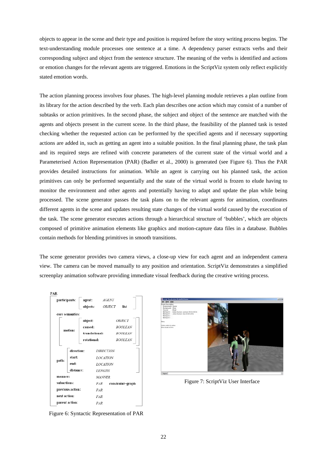objects to appear in the scene and their type and position is required before the story writing process begins. The text-understanding module processes one sentence at a time. A dependency parser extracts verbs and their corresponding subject and object from the sentence structure. The meaning of the verbs is identified and actions or emotion changes for the relevant agents are triggered. Emotions in the ScriptViz system only reflect explicitly stated emotion words.

The action planning process involves four phases. The high-level planning module retrieves a plan outline from its library for the action described by the verb. Each plan describes one action which may consist of a number of subtasks or action primitives. In the second phase, the subject and object of the sentence are matched with the agents and objects present in the current scene. In the third phase, the feasibility of the planned task is tested checking whether the requested action can be performed by the specified agents and if necessary supporting actions are added in, such as getting an agent into a suitable position. In the final planning phase, the task plan and its required steps are refined with concrete parameters of the current state of the virtual world and a Parameterised Action Representation (PAR) (Badler et al., 2000) is generated (see Figure 6). Thus the PAR provides detailed instructions for animation. While an agent is carrying out his planned task, the action primitives can only be performed sequentially and the state of the virtual world is frozen to elude having to monitor the environment and other agents and potentially having to adapt and update the plan while being processed. The scene generator passes the task plans on to the relevant agents for animation, coordinates different agents in the scene and updates resulting state changes of the virtual world caused by the execution of the task. The scene generator executes actions through a hierarchical structure of 'bubbles', which are objects composed of primitive animation elements like graphics and motion-capture data files in a database. Bubbles contain methods for blending primitives in smooth transitions.

The scene generator provides two camera views, a close-up view for each agent and an independent camera view. The camera can be moved manually to any position and orientation. ScriptViz demonstrates a simplified screenplay animation software providing immediate visual feedback during the creative writing process.





Figure 7: ScriptViz User Interface

Figure 6: Syntactic Representation of PAR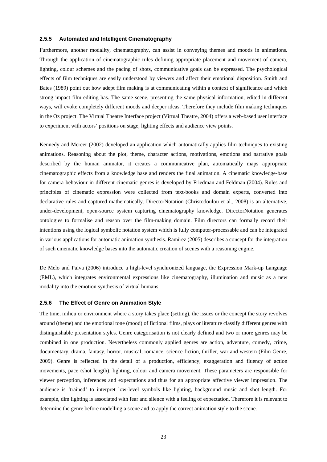#### **2.5.5 Automated and Intelligent Cinematography**

Furthermore, another modality, cinematography, can assist in conveying themes and moods in animations. Through the application of cinematographic rules defining appropriate placement and movement of camera, lighting, colour schemes and the pacing of shots, communicative goals can be expressed. The psychological effects of film techniques are easily understood by viewers and affect their emotional disposition. Smith and Bates (1989) point out how adept film making is at communicating within a context of significance and which strong impact film editing has. The same scene, presenting the same physical information, edited in different ways, will evoke completely different moods and deeper ideas. Therefore they include film making techniques in the Oz project. The Virtual Theatre Interface project (Virtual Theatre, 2004) offers a web-based user interface to experiment with actors' positions on stage, lighting effects and audience view points.

Kennedy and Mercer (2002) developed an application which automatically applies film techniques to existing animations. Reasoning about the plot, theme, character actions, motivations, emotions and narrative goals described by the human animator, it creates a communicative plan, automatically maps appropriate cinematographic effects from a knowledge base and renders the final animation. A cinematic knowledge-base for camera behaviour in different cinematic genres is developed by Friedman and Feldman (2004). Rules and principles of cinematic expression were collected from text-books and domain experts, converted into declarative rules and captured mathematically. DirectorNotation (Christodoulou et al., 2008) is an alternative, under-development, open-source system capturing cinematography knowledge. DirectorNotation generates ontologies to formalise and reason over the film-making domain. Film directors can formally record their intentions using the logical symbolic notation system which is fully computer-processable and can be integrated in various applications for automatic animation synthesis. Ramírez (2005) describes a concept for the integration of such cinematic knowledge bases into the automatic creation of scenes with a reasoning engine.

De Melo and Paiva (2006) introduce a high-level synchronized language, the Expression Mark-up Language (EML), which integrates environmental expressions like cinematography, illumination and music as a new modality into the emotion synthesis of virtual humans.

#### **2.5.6 The Effect of Genre on Animation Style**

The time, milieu or environment where a story takes place (setting), the issues or the concept the story revolves around (theme) and the emotional tone (mood) of fictional films, plays or literature classify different genres with distinguishable presentation styles. Genre categorisation is not clearly defined and two or more genres may be combined in one production. Nevertheless commonly applied genres are action, adventure, comedy, crime, documentary, drama, fantasy, horror, musical, romance, science-fiction, thriller, war and western (Film Genre, 2009). Genre is reflected in the detail of a production, efficiency, exaggeration and fluency of action movements, pace (shot length), lighting, colour and camera movement. These parameters are responsible for viewer perception, inferences and expectations and thus for an appropriate affective viewer impression. The audience is 'trained' to interpret low-level symbols like lighting, background music and shot length. For example, dim lighting is associated with fear and silence with a feeling of expectation. Therefore it is relevant to determine the genre before modelling a scene and to apply the correct animation style to the scene.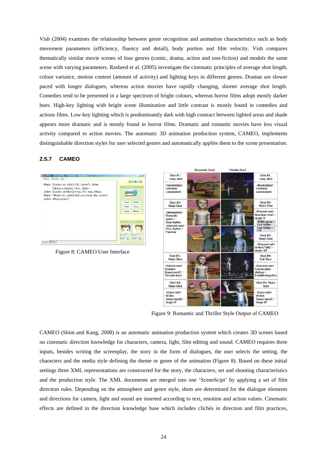Vish (2004) examines the relationship between genre recognition and animation characteristics such as body movement parameters (efficiency, fluency and detail), body portion and film velocity. Vish compares thematically similar movie scenes of four genres (comic, drama, action and non-fiction) and models the same scene with varying parameters. Rasheed et al. (2005) investigate the cinematic principles of average shot length, colour variance, motion content (amount of activity) and lighting keys in different genres. Dramas are slower paced with longer dialogues, whereas action movies have rapidly changing, shorter average shot length. Comedies tend to be presented in a large spectrum of bright colours, whereas horror films adopt mostly darker hues. High-key lighting with bright scene illumination and little contrast is mostly found in comedies and actions films. Low-key lighting which is predominantly dark with high contract between lighted areas and shade appears more dramatic and is mostly found in horror films. Dramatic and romantic movies have less visual activity compared to action movies. The automatic 3D animation production system, CAMEO, implements distinguishable direction styles for user selected genres and automatically applies them to the scene presentation.

#### **2.5.7 CAMEO**



Figure 9: Romantic and Thriller Style Output of CAMEO

CAMEO (Shim and Kang, 2008) is an automatic animation production system which creates 3D scenes based on cinematic direction knowledge for characters, camera, light, film editing and sound. CAMEO requires three inputs, besides writing the screenplay, the story in the form of dialogues, the user selects the setting, the characters and the media style defining the theme or genre of the animation (Figure 8). Based on these initial settings three XML representations are constructed for the story, the characters, set and shooting characteristics and the production style. The XML documents are merged into one 'SceneScipt' by applying a set of film direction rules. Depending on the atmosphere and genre style, shots are determined for the dialogue elements and directions for camera, light and sound are inserted according to text, emotion and action values. Cinematic effects are defined in the direction knowledge base which includes clichés in direction and film practices,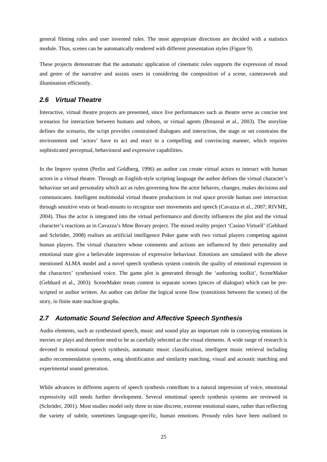general filming rules and user invented rules. The most appropriate directions are decided with a statistics module. Thus, scenes can be automatically rendered with different presentation styles (Figure 9).

These projects demonstrate that the automatic application of cinematic rules supports the expression of mood and genre of the narrative and assists users in considering the composition of a scene, camerawork and illumination efficiently.

# *2.6 Virtual Theatre*

Interactive, virtual theatre projects are presented, since live performances such as theatre serve as concise test scenarios for interaction between humans and robots, or virtual agents (Breazeal et al., 2003). The storyline defines the scenario, the script provides constrained dialogues and interaction, the stage or set constrains the environment and 'actors' have to act and react in a compelling and convincing manner, which requires sophisticated perceptual, behavioural and expressive capabilities.

In the Improv system (Perlin and Goldberg, 1996) an author can create virtual actors to interact with human actors in a virtual theatre. Through an English-style scripting language the author defines the virtual character's behaviour set and personality which act as rules governing how the actor behaves, changes, makes decisions and communicates. Intelligent multimodal virtual theatre productions in real space provide human user interaction through sensitive vests or head-mounts to recognize user movements and speech (Cavazza et al., 2007; RIVME, 2004). Thus the actor is integrated into the virtual performance and directly influences the plot and the virtual character's reactions as in Cavazza's Mme Bovary project. The mixed reality project 'Casino Virtuell' (Gebhard and Schröder, 2008) realises an artificial intelligence Poker game with two virtual players competing against human players. The virtual characters whose comments and actions are influenced by their personality and emotional state give a believable impression of expressive behaviour. Emotions are simulated with the above mentioned ALMA model and a novel speech synthesis system controls the quality of emotional expression in the characters' synthesised voice. The game plot is generated through the 'authoring toolkit', SceneMaker (Gebhard et al., 2003). SceneMaker treats content in separate scenes (pieces of dialogue) which can be prescripted or author written. An author can define the logical scene flow (transitions between the scenes) of the story, in finite state machine graphs.

#### *2.7 Automatic Sound Selection and Affective Speech Synthesis*

Audio elements, such as synthesised speech, music and sound play an important role in conveying emotions in movies or plays and therefore need to be as carefully selected as the visual elements. A wide range of research is devoted to emotional speech synthesis, automatic music classification, intelligent music retrieval including audio recommendation systems, song identification and similarity matching, visual and acoustic matching and experimental sound generation.

While advances in different aspects of speech synthesis contribute to a natural impression of voice, emotional expressivity still needs further development. Several emotional speech synthesis systems are reviewed in (Schröder, 2001). Most studies model only three to nine discrete, extreme emotional states, rather than reflecting the variety of subtle, sometimes language-specific, human emotions. Prosody rules have been outlined to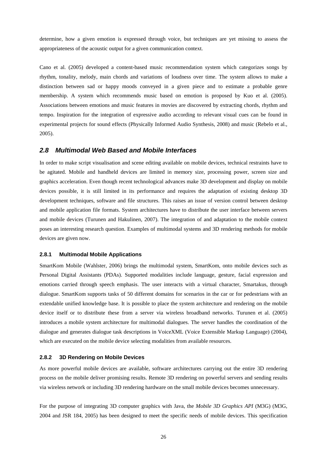determine, how a given emotion is expressed through voice, but techniques are yet missing to assess the appropriateness of the acoustic output for a given communication context.

Cano et al. (2005) developed a content-based music recommendation system which categorizes songs by rhythm, tonality, melody, main chords and variations of loudness over time. The system allows to make a distinction between sad or happy moods conveyed in a given piece and to estimate a probable genre membership. A system which recommends music based on emotion is proposed by Kuo et al. (2005). Associations between emotions and music features in movies are discovered by extracting chords, rhythm and tempo. Inspiration for the integration of expressive audio according to relevant visual cues can be found in experimental projects for sound effects (Physically Informed Audio Synthesis, 2008) and music (Rebelo et al., 2005).

#### *2.8 Multimodal Web Based and Mobile Interfaces*

In order to make script visualisation and scene editing available on mobile devices, technical restraints have to be agitated. Mobile and handheld devices are limited in memory size, processing power, screen size and graphics acceleration. Even though recent technological advances make 3D development and display on mobile devices possible, it is still limited in its performance and requires the adaptation of existing desktop 3D development techniques, software and file structures. This raises an issue of version control between desktop and mobile application file formats. System architectures have to distribute the user interface between servers and mobile devices (Turunen and Hakulinen, 2007). The integration of and adaptation to the mobile context poses an interesting research question. Examples of multimodal systems and 3D rendering methods for mobile devices are given now.

#### **2.8.1 Multimodal Mobile Applications**

SmartKom Mobile (Wahlster, 2006) brings the multimodal system, SmartKom, onto mobile devices such as Personal Digital Assistants (PDAs). Supported modalities include language, gesture, facial expression and emotions carried through speech emphasis. The user interacts with a virtual character, Smartakus, through dialogue. SmartKom supports tasks of 50 different domains for scenarios in the car or for pedestrians with an extendable unified knowledge base. It is possible to place the system architecture and rendering on the mobile device itself or to distribute these from a server via wireless broadband networks. Turunen et al. (2005) introduces a mobile system architecture for multimodal dialogues. The server handles the coordination of the dialogue and generates dialogue task descriptions in VoiceXML (Voice Extensible Markup Language) (2004), which are executed on the mobile device selecting modalities from available resources.

#### **2.8.2 3D Rendering on Mobile Devices**

As more powerful mobile devices are available, software architectures carrying out the entire 3D rendering process on the mobile deliver promising results. Remote 3D rendering on powerful servers and sending results via wireless network or including 3D rendering hardware on the small mobile devices becomes unnecessary.

For the purpose of integrating 3D computer graphics with Java, the *Mobile 3D Graphics API* (M3G) (M3G, 2004 and JSR 184, 2005) has been designed to meet the specific needs of mobile devices. This specification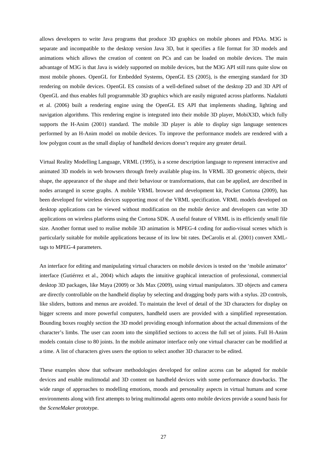allows developers to write Java programs that produce 3D graphics on mobile phones and PDAs. M3G is separate and incompatible to the desktop version Java 3D, but it specifies a file format for 3D models and animations which allows the creation of content on PCs and can be loaded on mobile devices. The main advantage of M3G is that Java is widely supported on mobile devices, but the M3G API still runs quite slow on most mobile phones. OpenGL for Embedded Systems, OpenGL ES (2005), is the emerging standard for 3D rendering on mobile devices. OpenGL ES consists of a well-defined subset of the desktop 2D and 3D API of OpenGL and thus enables full programmable 3D graphics which are easily migrated across platforms. Nadalutti et al. (2006) built a rendering engine using the OpenGL ES API that implements shading, lighting and navigation algorithms. This rendering engine is integrated into their mobile 3D player, MobiX3D, which fully supports the H-Anim (2001) standard. The mobile 3D player is able to display sign language sentences performed by an H-Anim model on mobile devices. To improve the performance models are rendered with a low polygon count as the small display of handheld devices doesn't require any greater detail.

Virtual Reality Modelling Language, VRML (1995), is a scene description language to represent interactive and animated 3D models in web browsers through freely available plug-ins. In VRML 3D geometric objects, their shape, the appearance of the shape and their behaviour or transformations, that can be applied, are described in nodes arranged in scene graphs. A mobile VRML browser and development kit, Pocket Cortona (2009), has been developed for wireless devices supporting most of the VRML specification. VRML models developed on desktop applications can be viewed without modification on the mobile device and developers can write 3D applications on wireless platforms using the Cortona SDK. A useful feature of VRML is its efficiently small file size. Another format used to realise mobile 3D animation is MPEG-4 coding for audio-visual scenes which is particularly suitable for mobile applications because of its low bit rates. DeCarolis et al. (2001) convert XMLtags to MPEG-4 parameters.

An interface for editing and manipulating virtual characters on mobile devices is tested on the 'mobile animator' interface (Gutiérrez et al., 2004) which adapts the intuitive graphical interaction of professional, commercial desktop 3D packages, like Maya (2009) or 3ds Max (2009), using virtual manipulators. 3D objects and camera are directly controllable on the handheld display by selecting and dragging body parts with a stylus. 2D controls, like sliders, buttons and menus are avoided. To maintain the level of detail of the 3D characters for display on bigger screens and more powerful computers, handheld users are provided with a simplified representation. Bounding boxes roughly section the 3D model providing enough information about the actual dimensions of the character's limbs. The user can zoom into the simplified sections to access the full set of joints. Full H-Anim models contain close to 80 joints. In the mobile animator interface only one virtual character can be modified at a time. A list of characters gives users the option to select another 3D character to be edited.

These examples show that software methodologies developed for online access can be adapted for mobile devices and enable mulitmodal and 3D content on handheld devices with some performance drawbacks. The wide range of approaches to modelling emotions, moods and personality aspects in virtual humans and scene environments along with first attempts to bring multimodal agents onto mobile devices provide a sound basis for the *SceneMaker* prototype.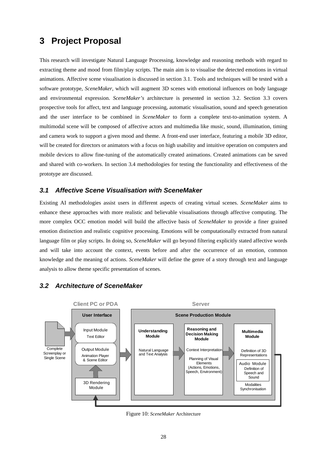# **3 Project Proposal**

This research will investigate Natural Language Processing, knowledge and reasoning methods with regard to extracting theme and mood from film/play scripts. The main aim is to visualise the detected emotions in virtual animations. Affective scene visualisation is discussed in section 3.1. Tools and techniques will be tested with a software prototype, *SceneMaker,* which will augment 3D scenes with emotional influences on body language and environmental expression. *SceneMaker's* architecture is presented in section 3.2. Section 3.3 covers prospective tools for affect, text and language processing, automatic visualisation, sound and speech generation and the user interface to be combined in *SceneMaker* to form a complete text-to-animation system. A multimodal scene will be composed of affective actors and multimedia like music, sound, illumination, timing and camera work to support a given mood and theme. A front-end user interface, featuring a mobile 3D editor, will be created for directors or animators with a focus on high usability and intuitive operation on computers and mobile devices to allow fine-tuning of the automatically created animations. Created animations can be saved and shared with co-workers. In section 3.4 methodologies for testing the functionality and effectiveness of the prototype are discussed.

## *3.1 Affective Scene Visualisation with SceneMaker*

Existing AI methodologies assist users in different aspects of creating virtual scenes. *SceneMaker* aims to enhance these approaches with more realistic and believable visualisations through affective computing. The more complex OCC emotion model will build the affective basis of *SceneMaker* to provide a finer grained emotion distinction and realistic cognitive processing. Emotions will be computationally extracted from natural language film or play scripts. In doing so, *SceneMaker* will go beyond filtering explicitly stated affective words and will take into account the context, events before and after the occurrence of an emotion, common knowledge and the meaning of actions. *SceneMaker* will define the genre of a story through text and language analysis to allow theme specific presentation of scenes.

# *3.2 Architecture of SceneMaker*



Figure 10: *SceneMaker* Architecture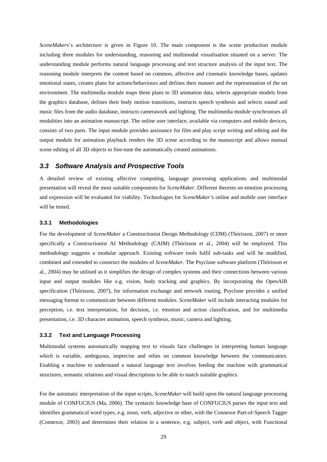*SceneMakers*'s architecture is given in Figure 10. The main component is the scene production module including three modules for understanding, reasoning and multimodal visualisation situated on a server. The understanding module performs natural language processing and text structure analysis of the input text. The reasoning module interprets the content based on common, affective and cinematic knowledge bases, updates emotional states, creates plans for actions/behaviours and defines their manner and the representation of the set environment. The multimedia module maps these plans to 3D animation data, selects appropriate models from the graphics database, defines their body motion transitions, instructs speech synthesis and selects sound and music files from the audio database, instructs camerawork and lighting. The multimedia module synchronises all modalities into an animation manuscript. The online user interface, available via computers and mobile devices, consists of two parts. The input module provides assistance for film and play script writing and editing and the output module for animation playback renders the 3D scene according to the manuscript and allows manual scene editing of all 3D objects to fine-tune the automatically created animations.

## *3.3 Software Analysis and Prospective Tools*

A detailed review of existing affective computing, language processing applications and multimodal presentation will reveal the most suitable components for *SceneMaker*. Different theories on emotion processing and expression will be evaluated for viability. Technologies for *SceneMaker's* online and mobile user interface will be tested.

#### **3.3.1 Methodologies**

For the development of *SceneMaker* a Constructionist Design Methodology (CDM) (Thórisson, 2007) or more specifically a Constructionist AI Methodology (CAIM) (Thórisson et al., 2004) will be employed. This methodology suggests a modular approach. Existing software tools fulfil sub-tasks and will be modified, combined and extended to construct the modules of *SceneMaker*. The Psyclone software platform (Thórisson et al., 2004) may be utilised as it simplifies the design of complex systems and their connections between various input and output modules like e.g. vision, body tracking and graphics. By incorporating the OpenAIR specification (Thórisson, 2007), for information exchange and network routing, Psyclone provides a unified messaging format to communicate between different modules. *SceneMaker* will include interacting modules for perception, i.e. text interpretation, for decision, i.e. emotion and action classification, and for multimedia presentation, i.e. 3D character animation, speech synthesis, music, camera and lighting.

#### **3.3.2 Text and Language Processing**

Multimodal systems automatically mapping text to visuals face challenges in interpreting human language which is variable, ambiguous, imprecise and relies on common knowledge between the communicators. Enabling a machine to understand a natural language text involves feeding the machine with grammatical structures, semantic relations and visual descriptions to be able to match suitable graphics.

For the automatic interpretation of the input scripts, *SceneMaker* will build upon the natural language processing module of CONFUCIUS (Ma, 2006). The syntactic knowledge base of CONFUCIUS parses the input text and identifies grammatical word types, e.g. noun, verb, adjective or other, with the Connexor Part-of-Speech Tagger (Connexor, 2003) and determines their relation in a sentence, e.g. subject, verb and object, with Functional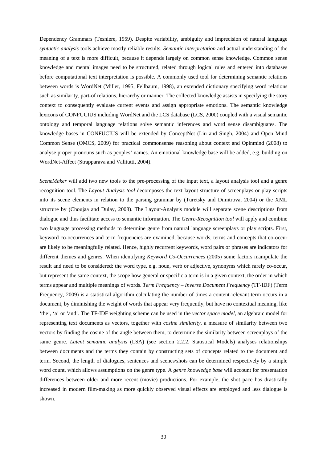Dependency Grammars (Tesniere, 1959). Despite variability, ambiguity and imprecision of natural language *syntactic analysis* tools achieve mostly reliable results. *Semantic interpretation* and actual understanding of the meaning of a text is more difficult, because it depends largely on common sense knowledge. Common sense knowledge and mental images need to be structured, related through logical rules and entered into databases before computational text interpretation is possible. A commonly used tool for determining semantic relations between words is WordNet (Miller, 1995, Fellbaum, 1998), an extended dictionary specifying word relations such as similarity, part-of relations, hierarchy or manner. The collected knowledge assists in specifying the story context to consequently evaluate current events and assign appropriate emotions. The semantic knowledge lexicons of CONFUCIUS including WordNet and the LCS database (LCS, 2000) coupled with a visual semantic ontology and temporal language relations solve semantic inferences and word sense disambiguates. The knowledge bases in CONFUCIUS will be extended by ConceptNet (Liu and Singh, 2004) and Open Mind Common Sense (OMCS, 2009) for practical commonsense reasoning about context and Opinmind (2008) to analyse proper pronouns such as peoples' names. An emotional knowledge base will be added, e.g. building on WordNet-Affect (Strapparava and Valitutti, 2004).

*SceneMaker* will add two new tools to the pre-processing of the input text, a layout analysis tool and a genre recognition tool. The *Layout-Analysis tool* decomposes the text layout structure of screenplays or play scripts into its scene elements in relation to the parsing grammar by (Turetsky and Dimitrova, 2004) or the XML structure by (Choujaa and Dulay, 2008). The Layout-Analysis module will separate scene descriptions from dialogue and thus facilitate access to semantic information. The *Genre-Recognition tool* will apply and combine two language processing methods to determine genre from natural language screenplays or play scripts. First, keyword co-occurrences and term frequencies are examined, because words, terms and concepts that co-occur are likely to be meaningfully related. Hence, highly recurrent keywords, word pairs or phrases are indicators for different themes and genres. When identifying *Keyword Co-Occurrences* (2005) some factors manipulate the result and need to be considered: the word type, e.g. noun, verb or adjective, synonyms which rarely co-occur, but represent the same context, the scope how general or specific a term is in a given context, the order in which terms appear and multiple meanings of words. *Term Frequency – Inverse Document Frequency* (TF-IDF) (Term Frequency, 2009) is a statistical algorithm calculating the number of times a content-relevant term occurs in a document, by diminishing the weight of words that appear very frequently, but have no contextual meaning, like 'the', 'a' or 'and'. The TF-IDF weighting scheme can be used in the *vector space model,* an algebraic model for representing text documents as vectors, together with *cosine similarity,* a measure of similarity between two vectors by finding the cosine of the angle between them, to determine the similarity between screenplays of the same genre. *Latent semantic analysis* (LSA) (see section 2.2.2, Statistical Models) analyses relationships between documents and the terms they contain by constructing sets of concepts related to the document and term. Second, the length of dialogues, sentences and scenes/shots can be determined respectively by a simple word count, which allows assumptions on the genre type. A *genre knowledge base* will account for presentation differences between older and more recent (movie) productions. For example, the shot pace has drastically increased in modern film-making as more quickly observed visual effects are employed and less dialogue is shown.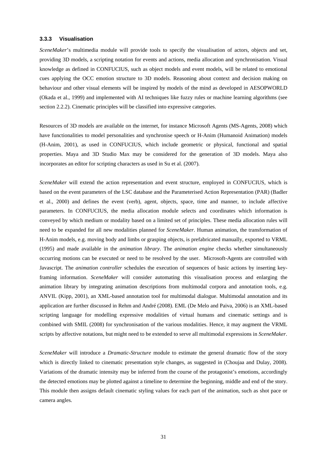#### **3.3.3 Visualisation**

*SceneMaker*'s multimedia module will provide tools to specify the visualisation of actors, objects and set, providing 3D models, a scripting notation for events and actions, media allocation and synchronisation. Visual knowledge as defined in CONFUCIUS, such as object models and event models, will be related to emotional cues applying the OCC emotion structure to 3D models. Reasoning about context and decision making on behaviour and other visual elements will be inspired by models of the mind as developed in AESOPWORLD (Okada et al., 1999) and implemented with AI techniques like fuzzy rules or machine learning algorithms (see section 2.2.2). Cinematic principles will be classified into expressive categories.

Resources of 3D models are available on the internet, for instance Microsoft Agents (MS-Agents, 2008) which have functionalities to model personalities and synchronise speech or H-Anim (Humanoid Animation) models (H-Anim, 2001), as used in CONFUCIUS, which include geometric or physical, functional and spatial properties. Maya and 3D Studio Max may be considered for the generation of 3D models. Maya also incorporates an editor for scripting characters as used in Su et al. (2007).

*SceneMaker* will extend the action representation and event structure, employed in CONFUCIUS, which is based on the event parameters of the LSC database and the Parameterised Action Representation (PAR) (Badler et al., 2000) and defines the event (verb), agent, objects, space, time and manner, to include affective parameters. In CONFUCIUS, the media allocation module selects and coordinates which information is conveyed by which medium or modality based on a limited set of principles. These media allocation rules will need to be expanded for all new modalities planned for *SceneMaker*. Human animation, the transformation of H-Anim models, e.g. moving body and limbs or grasping objects, is prefabricated manually, exported to VRML (1995) and made available in the *animation library*. The *animation engine* checks whether simultaneously occurring motions can be executed or need to be resolved by the user. Microsoft-Agents are controlled with Javascript. The *animation controller* schedules the execution of sequences of basic actions by inserting keyframing information. *SceneMaker* will consider automating this visualisation process and enlarging the animation library by integrating animation descriptions from multimodal corpora and annotation tools, e.g. ANVIL (Kipp, 2001), an XML-based annotation tool for multimodal dialogue. Multimodal annotation and its application are further discussed in Rehm and André (2008). EML (De Melo and Paiva, 2006) is an XML-based scripting language for modelling expressive modalities of virtual humans and cinematic settings and is combined with SMIL (2008) for synchronisation of the various modalities. Hence, it may augment the VRML scripts by affective notations, but might need to be extended to serve all multimodal expressions in *SceneMaker*.

*SceneMaker* will introduce a *Dramatic-Structure* module to estimate the general dramatic flow of the story which is directly linked to cinematic presentation style changes, as suggested in (Choujaa and Dulay, 2008). Variations of the dramatic intensity may be inferred from the course of the protagonist's emotions, accordingly the detected emotions may be plotted against a timeline to determine the beginning, middle and end of the story. This module then assigns default cinematic styling values for each part of the animation, such as shot pace or camera angles.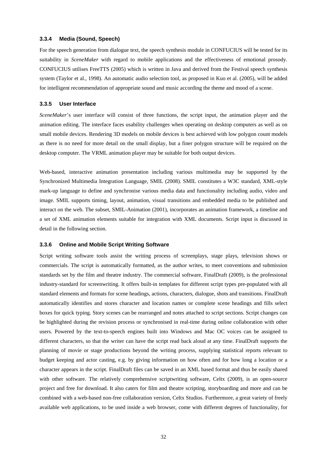#### **3.3.4 Media (Sound, Speech)**

For the speech generation from dialogue text, the speech synthesis module in CONFUCIUS will be tested for its suitability in *SceneMaker* with regard to mobile applications and the effectiveness of emotional prosody. CONFUCIUS utilises FreeTTS (2005) which is written in Java and derived from the Festival speech synthesis system (Taylor et al., 1998). An automatic audio selection tool, as proposed in Kuo et al. (2005), will be added for intelligent recommendation of appropriate sound and music according the theme and mood of a scene.

#### **3.3.5 User Interface**

*SceneMaker*'s user interface will consist of three functions, the script input, the animation player and the animation editing. The interface faces usability challenges when operating on desktop computers as well as on small mobile devices. Rendering 3D models on mobile devices is best achieved with low polygon count models as there is no need for more detail on the small display, but a finer polygon structure will be required on the desktop computer. The VRML animation player may be suitable for both output devices.

Web-based, interactive animation presentation including various multimedia may be supported by the Synchronized Multimedia Integration Language, SMIL (2008). SMIL constitutes a W3C standard, XML-style mark-up language to define and synchronise various media data and functionality including audio, video and image. SMIL supports timing, layout, animation, visual transitions and embedded media to be published and interact on the web. The subset, SMIL-Animation (2001), incorporates an animation framework, a timeline and a set of XML animation elements suitable for integration with XML documents. Script input is discussed in detail in the following section.

#### **3.3.6 Online and Mobile Script Writing Software**

Script writing software tools assist the writing process of screenplays, stage plays, television shows or commercials. The script is automatically formatted, as the author writes, to meet conventions and submission standards set by the film and theatre industry. The commercial software, FinalDraft (2009), is the professional industry-standard for screenwriting. It offers built-in templates for different script types pre-populated with all standard elements and formats for scene headings, actions, characters, dialogue, shots and transitions. FinalDraft automatically identifies and stores character and location names or complete scene headings and fills select boxes for quick typing. Story scenes can be rearranged and notes attached to script sections. Script changes can be highlighted during the revision process or synchronised in real-time during online collaboration with other users. Powered by the text-to-speech engines built into Windows and Mac OC voices can be assigned to different characters, so that the writer can have the script read back aloud at any time. FinalDraft supports the planning of movie or stage productions beyond the writing process, supplying statistical reports relevant to budget keeping and actor casting, e.g. by giving information on how often and for how long a location or a character appears in the script. FinalDraft files can be saved in an XML based format and thus be easily shared with other software. The relatively comprehensive scriptwriting software, Celtx (2009), is an open-source project and free for download. It also caters for film and theatre scripting, storyboarding and more and can be combined with a web-based non-free collaboration version, Celtx Studios. Furthermore, a great variety of freely available web applications, to be used inside a web browser, come with different degrees of functionality, for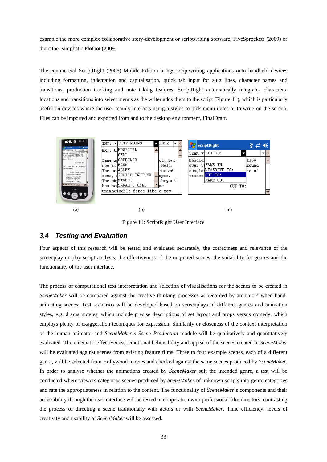example the more complex collaborative story-development or scriptwriting software, FiveSprockets (2009) or the rather simplistic Plotbot (2009).

The commercial ScriptRight (2006) Mobile Edition brings scriptwriting applications onto handheld devices including formatting, indentation and capitalisation, quick tab input for slug lines, character names and transitions, production tracking and note taking features. ScriptRight automatically integrates characters, locations and transitions into select menus as the writer adds them to the script (Figure 11), which is particularly useful on devices where the user mainly interacts using a stylus to pick menu items or to write on the screen. Files can be imported and exported from and to the desktop environment, FinalDraft.



Figure 11: ScriptRight User Interface

### *3.4 Testing and Evaluation*

Four aspects of this research will be tested and evaluated separately, the correctness and relevance of the screenplay or play script analysis, the effectiveness of the outputted scenes, the suitability for genres and the functionality of the user interface.

The process of computational text interpretation and selection of visualisations for the scenes to be created in *SceneMaker* will be compared against the creative thinking processes as recorded by animators when handanimating scenes. Test scenarios will be developed based on screenplays of different genres and animation styles, e.g. drama movies, which include precise descriptions of set layout and props versus comedy, which employs plenty of exaggeration techniques for expression. Similarity or closeness of the context interpretation of the human animator and *SceneMaker's Scene Production* module will be qualitatively and quantitatively evaluated. The cinematic effectiveness, emotional believability and appeal of the scenes created in *SceneMaker* will be evaluated against scenes from existing feature films. Three to four example scenes, each of a different genre, will be selected from Hollywood movies and checked against the same scenes produced by *SceneMaker*. In order to analyse whether the animations created by *SceneMaker* suit the intended genre, a test will be conducted where viewers categorise scenes produced by *SceneMaker* of unknown scripts into genre categories and rate the appropriateness in relation to the content. The functionality of *SceneMaker*'s components and their accessibility through the user interface will be tested in cooperation with professional film directors, contrasting the process of directing a scene traditionally with actors or with *SceneMaker*. Time efficiency, levels of creativity and usability of *SceneMaker* will be assessed.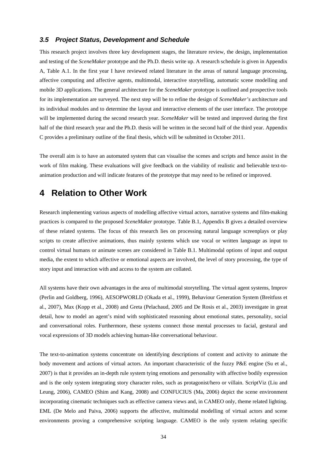### *3.5 Project Status, Development and Schedule*

This research project involves three key development stages, the literature review, the design, implementation and testing of the *SceneMaker* prototype and the Ph.D. thesis write up. A research schedule is given in Appendix A, Table A.1. In the first year I have reviewed related literature in the areas of natural language processing, affective computing and affective agents, multimodal, interactive storytelling, automatic scene modelling and mobile 3D applications. The general architecture for the *SceneMaker* prototype is outlined and prospective tools for its implementation are surveyed. The next step will be to refine the design of *SceneMaker's* architecture and its individual modules and to determine the layout and interactive elements of the user interface. The prototype will be implemented during the second research year. *SceneMaker* will be tested and improved during the first half of the third research year and the Ph.D. thesis will be written in the second half of the third year. Appendix C provides a preliminary outline of the final thesis, which will be submitted in October 2011.

The overall aim is to have an automated system that can visualise the scenes and scripts and hence assist in the work of film making. These evaluations will give feedback on the viability of realistic and believable text-toanimation production and will indicate features of the prototype that may need to be refined or improved.

# **4 Relation to Other Work**

Research implementing various aspects of modelling affective virtual actors, narrative systems and film-making practices is compared to the proposed *SceneMaker* prototype. Table B.1, Appendix B gives a detailed overview of these related systems. The focus of this research lies on processing natural language screenplays or play scripts to create affective animations, thus mainly systems which use vocal or written language as input to control virtual humans or animate scenes are considered in Table B.1. Multimodal options of input and output media, the extent to which affective or emotional aspects are involved, the level of story processing, the type of story input and interaction with and access to the system are collated.

All systems have their own advantages in the area of multimodal storytelling. The virtual agent systems, Improv (Perlin and Goldberg, 1996), AESOPWORLD (Okada et al., 1999), Behaviour Generation System (Breitfuss et al., 2007), Max (Kopp et al., 2008) and Greta (Pelachaud, 2005 and De Rosis et al., 2003) investigate in great detail, how to model an agent's mind with sophisticated reasoning about emotional states, personality, social and conversational roles. Furthermore, these systems connect those mental processes to facial, gestural and vocal expressions of 3D models achieving human-like conversational behaviour.

The text-to-animation systems concentrate on identifying descriptions of content and activity to animate the body movement and actions of virtual actors. An important characteristic of the fuzzy P&E engine (Su et al., 2007) is that it provides an in-depth rule system tying emotions and personality with affective bodily expression and is the only system integrating story character roles, such as protagonist/hero or villain. ScriptViz (Liu and Leung, 2006), CAMEO (Shim and Kang, 2008) and CONFUCIUS (Ma, 2006) depict the scene environment incorporating cinematic techniques such as effective camera views and, in CAMEO only, theme related lighting. EML (De Melo and Paiva, 2006) supports the affective, multimodal modelling of virtual actors and scene environments proving a comprehensive scripting language. CAMEO is the only system relating specific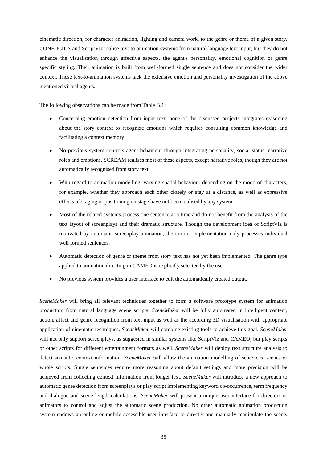cinematic direction, for character animation, lighting and camera work, to the genre or theme of a given story. CONFUCIUS and ScriptViz realise text-to-animation systems from natural language text input, but they do not enhance the visualisation through affective aspects, the agent's personality, emotional cognition or genre specific styling. Their animation is built from well-formed single sentence and does not consider the wider context. These text-to-animation systems lack the extensive emotion and personality investigation of the above mentioned virtual agents.

The following observations can be made from Table B.1:

- Concerning emotion detection from input text, none of the discussed projects integrates reasoning about the story context to recognize emotions which requires consulting common knowledge and facilitating a context memory.
- No previous system controls agent behaviour through integrating personality, social status, narrative roles and emotions. SCREAM realises most of these aspects, except narrative roles, though they are not automatically recognised from story text.
- With regard to animation modelling, varying spatial behaviour depending on the mood of characters, for example, whether they approach each other closely or stay at a distance, as well as expressive effects of staging or positioning on stage have not been realised by any system.
- Most of the related systems process one sentence at a time and do not benefit from the analysis of the text layout of screenplays and their dramatic structure. Though the development idea of ScriptViz is motivated by automatic screenplay animation, the current implementation only processes individual well formed sentences.
- Automatic detection of genre or theme from story text has not yet been implemented. The genre type applied to animation directing in CAMEO is explicitly selected by the user.
- No previous system provides a user interface to edit the automatically created output.

*SceneMaker* will bring all relevant techniques together to form a software prototype system for animation production from natural language scene scripts. *SceneMaker* will be fully automated in intelligent content, action, affect and genre recognition from text input as well as the according 3D visualisation with appropriate application of cinematic techniques. *SceneMaker* will combine existing tools to achieve this goal. *SceneMaker* will not only support screenplays, as suggested in similar systems like ScriptViz and CAMEO, but play scripts or other scripts for different entertainment formats as well. *SceneMaker* will deploy text structure analysis to detect semantic context information. *SceneMaker* will allow the animation modelling of sentences, scenes or whole scripts. Single sentences require more reasoning about default settings and more precision will be achieved from collecting context information from longer text. *SceneMaker* will introduce a new approach to automatic genre detection from screenplays or play script implementing keyword co-occurrence, term frequency and dialogue and scene length calculations. *SceneMaker* will present a unique user interface for directors or animators to control and adjust the automatic scene production. No other automatic animation production system endows an online or mobile accessible user interface to directly and manually manipulate the scene.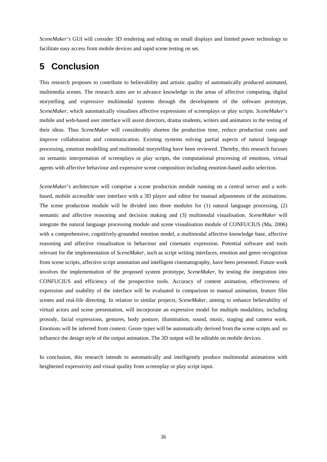*SceneMaker's* GUI will consider 3D rendering and editing on small displays and limited power technology to facilitate easy access from mobile devices and rapid scene testing on set.

# **5 Conclusion**

This research proposes to contribute to believability and artistic quality of automatically produced animated, multimedia scenes. The research aims are to advance knowledge in the areas of affective computing, digital storytelling and expressive multimodal systems through the development of the software prototype, *SceneMaker*, which automatically visualises affective expressions of screenplays or play scripts. *SceneMaker's*  mobile and web-based user interface will assist directors, drama students, writers and animators in the testing of their ideas. Thus *SceneMaker* will considerably shorten the production time, reduce production costs and improve collaboration and communication. Existing systems solving partial aspects of natural language processing, emotion modelling and multimodal storytelling have been reviewed. Thereby, this research focuses on semantic interpretation of screenplays or play scripts, the computational processing of emotions, virtual agents with affective behaviour and expressive scene composition including emotion-based audio selection.

*SceneMaker*'s architecture will comprise a scene production module running on a central server and a webbased, mobile accessible user interface with a 3D player and editor for manual adjustments of the animations. The scene production module will be divided into three modules for (1) natural language processing, (2) semantic and affective reasoning and decision making and (3) multimodal visualisation. *SceneMaker* will integrate the natural language processing module and scene visualisation module of CONFUCIUS (Ma, 2006) with a comprehensive, cognitively-grounded emotion model, a multimodal affective knowledge base, affective reasoning and affective visualisation in behaviour and cinematic expression. Potential software and tools relevant for the implementation of *SceneMaker,* such as script writing interfaces, emotion and genre recognition from scene scripts, affective script annotation and intelligent cinematography, have been presented. Future work involves the implementation of the proposed system prototype, *SceneMaker*, by testing the integration into CONFUCIUS and efficiency of the prospective tools. Accuracy of content animation, effectiveness of expression and usability of the interface will be evaluated in comparison to manual animation, feature film scenes and real-life directing. In relation to similar projects, *SceneMaker,* aiming to enhance believability of virtual actors and scene presentation, will incorporate an expressive model for multiple modalities, including prosody, facial expressions, gestures, body posture, illumination, sound, music, staging and camera work. Emotions will be inferred from context. Genre types will be automatically derived from the scene scripts and so influence the design style of the output animation. The 3D output will be editable on mobile devices.

In conclusion, this research intends to automatically and intelligently produce multimodal animations with heightened expressivity and visual quality from screenplay or play script input.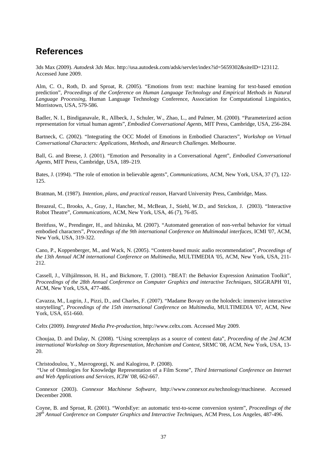# **References**

3ds Max (2009). *Autodesk 3ds Max*. http://usa.autodesk.com/adsk/servlet/index?id=5659302&siteID=123112. Accessed June 2009.

Alm, C. O., Roth, D. and Sproat, R. (2005). "Emotions from text: machine learning for text-based emotion prediction", *Proceedings of the Conference on Human Language Technology and Empirical Methods in Natural Language Processing*, Human Language Technology Conference, Association for Computational Linguistics, Morristown, USA, 579-586.

Badler, N. I., Bindiganavale, R., Allbeck, J., Schuler, W., Zhao, L., and Palmer, M. (2000). "Parameterized action representation for virtual human agents", *Embodied Conversational Agents,* MIT Press, Cambridge, USA, 256-284.

Bartneck, C. (2002). "Integrating the OCC Model of Emotions in Embodied Characters", *Workshop on Virtual Conversational Characters: Applications, Methods, and Research Challenges*. Melbourne.

Ball, G. and Breese, J. (2001). "Emotion and Personality in a Conversational Agent", *Embodied Conversational Agents*, MIT Press, Cambridge, USA, 189–219.

Bates, J. (1994). "The role of emotion in believable agents", *Communications*, ACM, New York, USA, 37 (7), 122- 125.

Bratman, M. (1987). *Intention, plans, and practical reason*, Harvard University Press, Cambridge, Mass.

Breazeal, C., Brooks, A., Gray, J., Hancher, M., McBean, J., Stiehl, W.D., and Strickon, J. (2003). "Interactive Robot Theatre", *Communications,* ACM, New York, USA, 46 (7), 76-85.

Breitfuss, W., Prendinger, H., and Ishizuka, M. (2007). "Automated generation of non-verbal behavior for virtual embodied characters", *Proceedings of the 9th international Conference on Multimodal interfaces,* ICMI '07, ACM, New York, USA, 319-322.

Cano, P., Koppenberger, M., and Wack, N. (2005). "Content-based music audio recommendation", *Proceedings of the 13th Annual ACM international Conference on Multimedia*, MULTIMEDIA '05, ACM, New York, USA, 211- 212.

Cassell, J., Vilhjálmsson, H. H., and Bickmore, T. (2001). "BEAT: the Behavior Expression Animation Toolkit", *Proceedings of the 28th Annual Conference on Computer Graphics and interactive Techniques,* SIGGRAPH '01, ACM, New York, USA, 477-486.

Cavazza, M., Lugrin, J., Pizzi, D., and Charles, F. (2007). "Madame Bovary on the holodeck: immersive interactive storytelling", *Proceedings of the 15th international Conference on Multimedia*, MULTIMEDIA '07, ACM, New York, USA, 651-660.

Celtx (2009). *Integrated Media Pre-production*, http://www.celtx.com. Accessed May 2009.

Choujaa, D. and Dulay, N. (2008). "Using screenplays as a source of context data", *Proceeding of the 2nd ACM international Workshop on Story Representation, Mechanism and Context,* SRMC '08, ACM, New York, USA, 13- 20.

Christodoulou, Y., Mavrogeorgi, N. and Kalogirou, P. (2008).

 "Use of Ontologies for Knowledge Representation of a Film Scene", *Third International Conference on Internet and Web Applications and Services, ICIW '08,* 662-667.

Connexor (2003). *Connexor Machinese Software*, http://www.connexor.eu/technology/machinese. Accessed December 2008.

Coyne, B. and Sproat, R. (2001). "WordsEye: an automatic text-to-scene conversion system", *Proceedings of the 28th Annual Conference on Computer Graphics and Interactive Techniques*, ACM Press, Los Angeles, 487-496.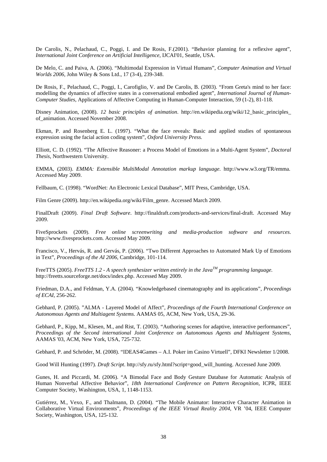De Carolis, N., Pelachaud, C., Poggi, I. and De Rosis, F.(2001). "Behavior planning for a reflexive agent", *International Joint Conference on Artificial Intelligence*, IJCAI'01, Seattle, USA.

De Melo, C. and Paiva, A. (2006). "Multimodal Expression in Virtual Humans", *Computer Animation and Virtual Worlds 2006,* John Wiley & Sons Ltd., 17 (3-4), 239-348.

De Rosis, F., Pelachaud, C., Poggi, I., Carofiglio, V. and De Carolis, B. (2003). "From Greta's mind to her face: modelling the dynamics of affective states in a conversational embodied agent", *International Journal of Human-Computer Studies*, Applications of Affective Computing in Human-Computer Interaction, 59 (1-2), 81-118.

Disney Animation, (2008). *12 basic principles of animation*. http://en.wikipedia.org/wiki/12\_basic\_principles\_ of\_animation. Accessed November 2008.

Ekman, P. and Rosenberg E. L. (1997). "What the face reveals: Basic and applied studies of spontaneous expression using the facial action coding system", *Oxford University Press.*

Elliott, C. D. (1992). "The Affective Reasoner: a Process Model of Emotions in a Multi-Agent System", *Doctoral Thesis*, Northwestern University.

EMMA, (2003). *EMMA: Extensible MultiModal Annotation markup language*. http://www.w3.org/TR/emma. Accessed May 2009.

Fellbaum, C. (1998). "WordNet: An Electronic Lexical Database", MIT Press, Cambridge, USA.

Film Genre (2009). http://en.wikipedia.org/wiki/Film\_genre. Accessed March 2009.

FinalDraft (2009). *Final Draft Software*. http://finaldraft.com/products-and-services/final-draft. Accessed May 2009.

FiveSprockets (2009). *Free online screenwriting and media-production software and resources*. http://www.fivesprockets.com. Accessed May 2009.

Francisco, V., Hervás, R. and Gervás, P. (2006). "Two Different Approaches to Automated Mark Up of Emotions in Text", *Proceedings of the AI 2006*, Cambridge, 101-114.

FreeTTS (2005). *FreeTTS 1.2 - A speech synthesizer written entirely in the JavaTM programming language.* http://freetts.sourceforge.net/docs/index.php. Accessed May 2009.

Friedman, D.A., and Feldman, Y.A. (2004). "Knowledgebased cinematography and its applications", *Proceedings of ECAI*, 256-262.

Gebhard, P. (2005). "ALMA - Layered Model of Affect", *Proceedings of the Fourth International Conference on Autonomous Agents and Multiagent Systems.* AAMAS 05, ACM, New York, USA, 29-36.

Gebhard, P., Kipp, M., Klesen, M., and Rist, T. (2003). "Authoring scenes for adaptive, interactive performances", *Proceedings of the Second international Joint Conference on Autonomous Agents and Multiagent Systems*, AAMAS '03, ACM, New York, USA, 725-732.

Gebhard, P. and Schröder, M. (2008). "IDEAS4Games – A.I. Poker im Casino Virtuell", DFKI Newsletter 1/2008.

Good Will Hunting (1997). *Draft Script*. http://sfy.ru/sfy.html?script=good\_will\_hunting. Accessed June 2009.

Gunes, H. and Piccardi, M. (2006). "A Bimodal Face and Body Gesture Database for Automatic Analysis of Human Nonverbal Affective Behavior", *18th International Conference on Pattern Recognition*, ICPR, IEEE Computer Society, Washington, USA, 1, 1148-1153.

Gutiérrez, M., Vexo, F., and Thalmann, D. (2004). "The Mobile Animator: Interactive Character Animation in Collaborative Virtual Environments", *Proceedings of the IEEE Virtual Reality 2004*, VR '04, IEEE Computer Society, Washington, USA, 125-132.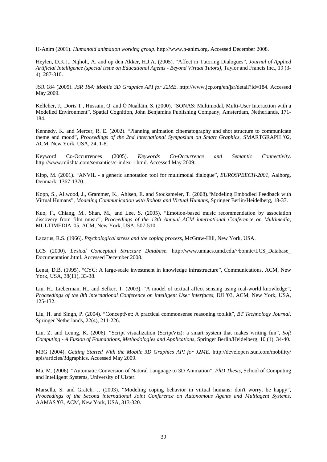H-Anim (2001). *Humanoid animation working group*. http://www.h-anim.org. Accessed December 2008.

Heylen, D.K.J., Nijholt, A. and op den Akker, H.J.A. (2005). "Affect in Tutoring Dialogues", *Journal of Applied Artificial Intelligence (special issue on Educational Agents - Beyond Virtual Tutors)*, Taylor and Francis Inc., 19 (3- 4), 287-310.

JSR 184 (2005). *JSR 184: Mobile 3D Graphics API for J2ME*. http://www.jcp.org/en/jsr/detail?id=184. Accessed May 2009.

Kelleher, J., Doris T., Hussain, Q. and Ó Nualláin, S. (2000). "SONAS: Multimodal, Multi-User Interaction with a Modelled Environment", Spatial Cognition, John Benjamins Publishing Company, Amsterdam, Netherlands, 171- 184.

Kennedy, K. and Mercer, R. E. (2002). "Planning animation cinematography and shot structure to communicate theme and mood", *Proceedings of the 2nd international Symposium on Smart Graphics*, SMARTGRAPH '02, ACM, New York, USA, 24, 1-8.

Keyword Co-Occurrences (2005). *Keywords Co-Occurrence and Semantic Connectivity*. http://www.miislita.com/semantics/c-index-1.html. Accessed May 2009.

Kipp, M. (2001). "ANVIL - a generic annotation tool for multimodal dialogue", *EUROSPEECH-2001*, Aalborg, Denmark, 1367-1370.

Kopp, S., Allwood, J., Grammer, K., Ahlsen, E. and Stocksmeier, T. (2008)."Modeling Embodied Feedback with Virtual Humans", *Modeling Communication with Robots and Virtual Humans,* Springer Berlin/Heidelberg, 18-37.

Kuo, F., Chiang, M., Shan, M., and Lee, S. (2005). "Emotion-based music recommendation by association discovery from film music", *Proceedings of the 13th Annual ACM international Conference on Multimedia*, MULTIMEDIA '05, ACM, New York, USA, 507-510.

Lazarus, R.S. (1966). *Psychological stress and the coping process*, McGraw-Hill, New York, USA.

LCS (2000). *Lexical Conceptual Structure Database*. http://www.umiacs.umd.edu/~bonnie/LCS\_Database\_ Documentation.html. Accessed December 2008.

Lenat, D.B. (1995). "CYC: A large-scale investment in knowledge infrastructure", Communications, ACM, New York, USA, 38(11), 33-38.

Liu, H., Lieberman, H., and Selker, T. (2003). "A model of textual affect sensing using real-world knowledge", *Proceedings of the 8th international Conference on intelligent User interfaces,* IUI '03, ACM, New York, USA, 125-132.

Liu, H. and Singh, P. (2004). "ConceptNet: A practical commonsense reasoning toolkit", *BT Technology Journal*, Springer Netherlands, 22(4), 211-226.

Liu, Z. and Leung, K. (2006). "Script visualization (ScriptViz): a smart system that makes writing fun", *Soft Computing - A Fusion of Foundations, Methodologies and Applications,* Springer Berlin/Heidelberg, 10 (1), 34-40.

M3G (2004). *Getting Started With the Mobile 3D Graphics API for J2ME*. http://developers.sun.com/mobility/ apis/articles/3dgraphics. Accessed May 2009.

Ma, M. (2006). "Automatic Conversion of Natural Language to 3D Animation", *PhD Thesis*, School of Computing and Intelligent Systems, University of Ulster.

Marsella, S. and Gratch, J. (2003). "Modeling coping behavior in virtual humans: don't worry, be happy", *Proceedings of the Second international Joint Conference on Autonomous Agents and Multiagent Systems*, AAMAS '03, ACM, New York, USA, 313-320.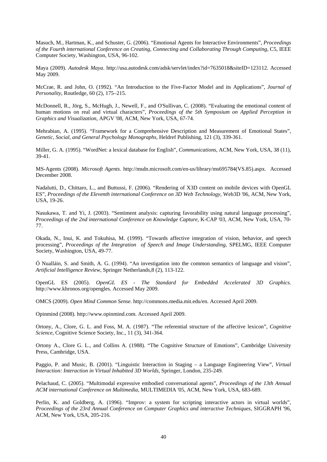Masuch, M., Hartman, K., and Schuster, G. (2006). "Emotional Agents for Interactive Environments", *Proceedings of the Fourth international Conference on Creating, Connecting and Collaborating Through Computing*, C5, IEEE Computer Society, Washington, USA, 96-102.

Maya (2009). *Autodesk Maya*. http://usa.autodesk.com/adsk/servlet/index?id=7635018&siteID=123112. Accessed May 2009.

McCrae, R. and John, O. (1992). "An Introduction to the Five-Factor Model and its Applications", *Journal of Personality*, Routledge, 60 (2), 175–215.

McDonnell, R., Jörg, S., McHugh, J., Newell, F., and O'Sullivan, C. (2008). "Evaluating the emotional content of human motions on real and virtual characters", *Proceedings of the 5th Symposium on Applied Perception in Graphics and Visualization*, APGV '08, ACM, New York, USA, 67-74.

Mehrabian, A. (1995). "Framework for a Comprehensive Description and Measurement of Emotional States", *Genetic, Social, and General Psychology Monographs*, Heldref Publishing, 121 (3), 339-361.

Miller, G. A. (1995). "WordNet: a lexical database for English", *Communications*, ACM, New York, USA, 38 (11), 39-41.

MS-Agents (2008). *Microsoft Agents*. http://msdn.microsoft.com/en-us/library/ms695784(VS.85).aspx. Accessed December 2008.

Nadalutti, D., Chittaro, L., and Buttussi, F. (2006). "Rendering of X3D content on mobile devices with OpenGL ES", *Proceedings of the Eleventh international Conference on 3D Web Technology*, Web3D '06, ACM, New York, USA, 19-26.

Nasukawa, T. and Yi, J. (2003). "Sentiment analysis: capturing favorability using natural language processing", *Proceedings of the 2nd international Conference on Knowledge Capture*, K-CAP '03, ACM, New York, USA, 70- 77.

Okada, N., Inui, K. and Tokuhisa, M. (1999). "Towards affective integration of vision, behavior, and speech processing", *Proceedings of the Integration of Speech and Image Understanding*, SPELMG, IEEE Computer Society, Washington, USA, 49-77.

Ó Nualláin, S. and Smith, A. G. (1994). "An investigation into the common semantics of language and vision", *Artificial Intelligence Review*, Springer Netherlands,8 (2), 113-122.

OpenGL ES (2005). *OpenGL ES - The Standard for Embedded Accelerated 3D Graphics*. http://www.khronos.org/opengles. Accessed May 2009.

OMCS (2009). *Open Mind Common Sense*. http://commons.media.mit.edu/en. Accessed April 2009.

Opinmind (2008). http://www.opinmind.com. Accessed April 2009.

Ortony, A., Clore, G. L. and Foss, M. A. (1987). "The referential structure of the affective lexicon", *Cognitive Science,* Cognitive Science Society, Inc., 11 (3), 341-364.

Ortony A., Clore G. L., and Collins A. (1988). "The Cognitive Structure of Emotions", Cambridge University Press, Cambridge, USA.

Paggio, P. and Music, B. (2001). "Linguistic Interaction in Staging – a Language Engineering View", *Virtual Interaction: Interaction in Virtual Inhabited 3D Worlds*, Springer, London, 235-249.

Pelachaud, C. (2005). "Multimodal expressive embodied conversational agents", *Proceedings of the 13th Annual ACM international Conference on Multimedia*, MULTIMEDIA '05, ACM, New York, USA, 683-689.

Perlin, K. and Goldberg, A. (1996). "Improv: a system for scripting interactive actors in virtual worlds", *Proceedings of the 23rd Annual Conference on Computer Graphics and interactive Techniques,* SIGGRAPH '96, ACM, New York, USA, 205-216.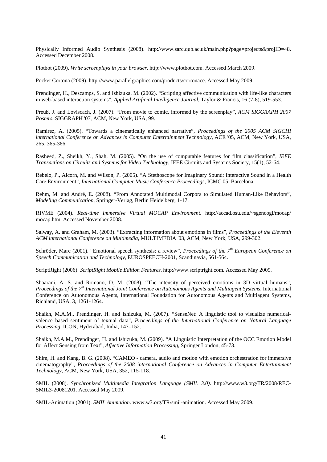Physically Informed Audio Synthesis (2008). http://www.sarc.qub.ac.uk/main.php?page=projects&projID=48. Accessed December 2008.

Plotbot (2009). *Write screenplays in your browser*. http://www.plotbot.com. Accessed March 2009.

Pocket Cortona (2009). http://www.parallelgraphics.com/products/cortonace. Accessed May 2009.

Prendinger, H., Descamps, S. and Ishizuka, M. (2002). "Scripting affective communication with life-like characters in web-based interaction systems", *Applied Artificial Intelligence Journal*, Taylor & Francis, 16 (7-8), 519-553.

Preuß, J. and Loviscach, J. (2007). "From movie to comic, informed by the screenplay", *ACM SIGGRAPH 2007 Posters*, SIGGRAPH '07, ACM, New York, USA, 99.

Ramírez, A. (2005). "Towards a cinematically enhanced narrative", *Proceedings of the 2005 ACM SIGCHI international Conference on Advances in Computer Entertainment Technology,* ACE '05, ACM, New York, USA, 265, 365-366.

Rasheed, Z., Sheikh, Y., Shah, M. (2005). "On the use of computable features for film classification", *IEEE Transactions on Circuits and Systems for Video Technology,* IEEE Circuits and Systems Society, 15(1), 52-64.

Rebelo, P., Alcorn, M. and Wilson, P. (2005). "A Stethoscope for Imaginary Sound: Interactive Sound in a Health Care Environment", *International Computer Music Conference Proceedings,* ICMC 05, Barcelona.

Rehm, M. and André, E. (2008). "From Annotated Multimodal Corpora to Simulated Human-Like Behaviors", *Modeling Communication*, Springer-Verlag, Berlin Heidelberg, 1-17.

RIVME (2004). *Real-time Immersive Virtual MOCAP Environment*. http://accad.osu.edu/~sgencogl/mocap/ mocap.htm. Accessed November 2008.

Salway, A. and Graham, M. (2003). "Extracting information about emotions in films", *Proceedings of the Eleventh ACM international Conference on Multimedia*, MULTIMEDIA '03, ACM, New York, USA, 299-302.

Schröder, Marc (2001). "Emotional speech synthesis: a review", *Proceedings of the 7th European Conference on Speech Communication and Technology*, EUROSPEECH-2001, Scandinavia, 561-564.

ScriptRight (2006). *ScriptRight Mobile Edition Features*. http://www.scriptright.com. Accessed May 2009.

Shaarani, A. S. and Romano, D. M. (2008). "The intensity of perceived emotions in 3D virtual humans", *Proceedings of the 7th International Joint Conference on Autonomous Agents and Multiagent Systems*, International Conference on Autonomous Agents, International Foundation for Autonomous Agents and Multiagent Systems, Richland, USA, 3, 1261-1264.

Shaikh, M.A.M., Prendinger, H. and Ishizuka, M. (2007). "SenseNet: A linguistic tool to visualize numericalvalence based sentiment of textual data", *Proceedings of the International Conference on Natural Language Processing*, ICON, Hyderabad, India, 147–152.

Shaikh, M.A.M., Prendinger, H. and Ishizuka, M. (2009). "A Linguistic Interpretation of the OCC Emotion Model for Affect Sensing from Text", *Affective Information Processing*, Springer London, 45-73.

Shim, H. and Kang, B. G. (2008). "CAMEO - camera, audio and motion with emotion orchestration for immersive cinematography", *Proceedings of the 2008 international Conference on Advances in Computer Entertainment Technology*, ACM, New York, USA, 352, 115-118.

SMIL (2008). *Synchronized Multimedia Integration Language (SMIL 3.0)*. http://www.w3.org/TR/2008/REC-SMIL3-20081201. Accessed May 2009.

SMIL-Animation (2001). *SMIL Animation*. www.w3.org/TR/smil-animation. Accessed May 2009.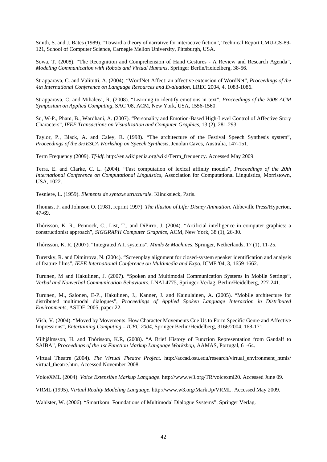Smith, S. and J. Bates (1989). "Toward a theory of narrative for interactive fiction", Technical Report CMU-CS-89- 121, School of Computer Science, Carnegie Mellon University, Pittsburgh, USA.

Sowa, T. (2008). "The Recognition and Comprehension of Hand Gestures - A Review and Research Agenda", *Modeling Communication with Robots and Virtual Humans*, Springer Berlin/Heidelberg, 38-56.

Strapparava, C. and Valitutti, A. (2004). "WordNet-Affect: an affective extension of WordNet", *Proceedings of the 4th International Conference on Language Resources and Evaluation*, LREC 2004, 4, 1083-1086.

Strapparava, C. and Mihalcea, R. (2008). "Learning to identify emotions in text", *Proceedings of the 2008 ACM Symposium on Applied Computing*, SAC '08, ACM, New York, USA, 1556-1560.

Su, W-P., Pham, B., Wardhani, A. (2007). "Personality and Emotion-Based High-Level Control of Affective Story Characters", *IEEE Transactions on Visualization and Computer Graphics*, 13 (2), 281-293.

Taylor, P., Black, A. and Caley, R. (1998). "The architecture of the Festival Speech Synthesis system", *Proceedings of the 3rd ESCA Workshop on Speech Synthesis*, Jenolan Caves, Australia, 147-151.

Term Frequency (2009). *Tf-idf*. http://en.wikipedia.org/wiki/Term\_frequency. Accessed May 2009.

Terra, E. and Clarke, C. L. (2004). "Fast computation of lexical affinity models", *Proceedings of the 20th International Conference on Computational Linguistics*, Association for Computational Linguistics, Morristown, USA, 1022.

Tesniere, L. (1959). *Elements de syntaxe structurale*. Klincksieck, Paris.

Thomas, F. and Johnson O. (1981, reprint 1997). *The Illusion of Life: Disney Animation*. Abbeville Press/Hyperion, 47-69.

Thórisson, K. R., Pennock, C., List, T., and DiPirro, J. (2004). "Artificial intelligence in computer graphics: a constructionist approach", *SIGGRAPH Computer Graphics,* ACM, New York, 38 (1), 26-30.

Thórisson, K. R. (2007). "Integrated A.I. systems", *Minds & Machines,* Springer, Netherlands, 17 (1), 11-25.

Turetsky, R. and Dimitrova, N. (2004). "Screenplay alignment for closed-system speaker identification and analysis of feature films", *IEEE International Conference on Multimedia and Expo*, ICME '04, 3, 1659-1662.

Turunen, M and Hakulinen, J. (2007). "Spoken and Multimodal Communication Systems in Mobile Settings", *Verbal and Nonverbal Communication Behaviours*, LNAI 4775, Springer-Verlag, Berlin/Heidelberg, 227-241.

Turunen, M., Salonen, E-P., Hakulinen, J., Kanner, J. and Kainulainen, A. (2005). "Mobile architecture for distributed multimodal dialogues", *Proceedings of Applied Spoken Language Interaction in Distributed Environments*, ASIDE-2005, paper 22.

Vish, V. (2004). "Moved by Movements: How Character Movements Cue Us to Form Specific Genre and Affective Impressions", *Entertaining Computing – ICEC 2004*, Springer Berlin/Heidelberg, 3166/2004, 168-171.

Vilhjálmsson, H. and Thórisson, K.R, (2008). "A Brief History of Function Representation from Gandalf to SAIBA", *Proceedings of the 1st Function Markup Language Workshop*, AAMAS, Portugal, 61-64.

Virtual Theatre (2004). *The Virtual Theatre Project*. http://accad.osu.edu/research/virtual\_environment\_htmls/ virtual theatre.htm. Accessed November 2008.

VoiceXML (2004). *Voice Extensible Markup Language*. http://www.w3.org/TR/voicexml20. Accessed June 09.

VRML (1995). *Virtual Reality Modeling Language*. http://www.w3.org/MarkUp/VRML. Accessed May 2009.

Wahlster, W. (2006). "Smartkom: Foundations of Multimodal Dialogue Systems", Springer Verlag.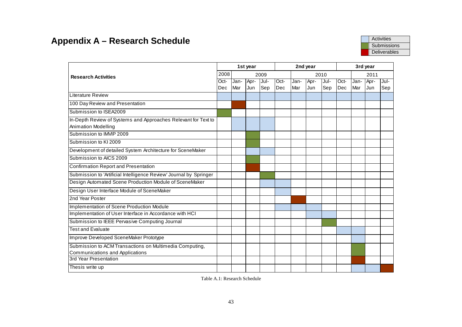# **Appendix A – Research Schedule Activities Appendix A – Research Schedule Activities**

|                                                                    |      |      | 1st year   |      |             |      | 2nd year |            | 3rd year |      |      |      |
|--------------------------------------------------------------------|------|------|------------|------|-------------|------|----------|------------|----------|------|------|------|
| <b>Research Activities</b>                                         | 2008 |      |            | 2009 |             |      |          | 2010       |          |      | 2011 |      |
|                                                                    | Oct- | Jan- | Apr-       | Jul- | Oct-        | Jan- | Apr-     | Jul-       | Oct-     | Jan- | Apr- | Jul- |
|                                                                    | Dec  | Mar  | <b>Jun</b> | Sep  | <b>IDec</b> | Mar  | Jun      | <b>Sep</b> | Dec      | Mar  | Jun  | Sep  |
| Literature Review                                                  |      |      |            |      |             |      |          |            |          |      |      |      |
| 100 Day Review and Presentation                                    |      |      |            |      |             |      |          |            |          |      |      |      |
| Submission to ISEA2009                                             |      |      |            |      |             |      |          |            |          |      |      |      |
| In-Depth Review of Systems and Approaches Relevant for Text to     |      |      |            |      |             |      |          |            |          |      |      |      |
| Animation Modelling                                                |      |      |            |      |             |      |          |            |          |      |      |      |
| Submission to IMVIP 2009                                           |      |      |            |      |             |      |          |            |          |      |      |      |
| Submission to KI 2009                                              |      |      |            |      |             |      |          |            |          |      |      |      |
| Development of detailed System Architecture for SceneMaker         |      |      |            |      |             |      |          |            |          |      |      |      |
| Submission to AICS 2009                                            |      |      |            |      |             |      |          |            |          |      |      |      |
| <b>Confirmation Report and Presentation</b>                        |      |      |            |      |             |      |          |            |          |      |      |      |
| Submission to 'Artificial Intelligence Review' Journal by Springer |      |      |            |      |             |      |          |            |          |      |      |      |
| Design Automated Scene Production Module of SceneMaker             |      |      |            |      |             |      |          |            |          |      |      |      |
| Design User Interface Module of SceneMaker                         |      |      |            |      |             |      |          |            |          |      |      |      |
| 2nd Year Poster                                                    |      |      |            |      |             |      |          |            |          |      |      |      |
| <b>Implementation of Scene Production Module</b>                   |      |      |            |      |             |      |          |            |          |      |      |      |
| Implementation of User Interface in Accordance with HCI            |      |      |            |      |             |      |          |            |          |      |      |      |
| Submission to IEEE Pervasive Computing Journal                     |      |      |            |      |             |      |          |            |          |      |      |      |
| <b>Test and Evaluate</b>                                           |      |      |            |      |             |      |          |            |          |      |      |      |
| Improve Developed SceneMaker Prototype                             |      |      |            |      |             |      |          |            |          |      |      |      |
| Submission to ACM Transactions on Multimedia Computing,            |      |      |            |      |             |      |          |            |          |      |      |      |
| Communications and Applications                                    |      |      |            |      |             |      |          |            |          |      |      |      |
| 3rd Year Presentation                                              |      |      |            |      |             |      |          |            |          |      |      |      |
| Thes is write up                                                   |      |      |            |      |             |      |          |            |          |      |      |      |

Table A.1: Research Schedule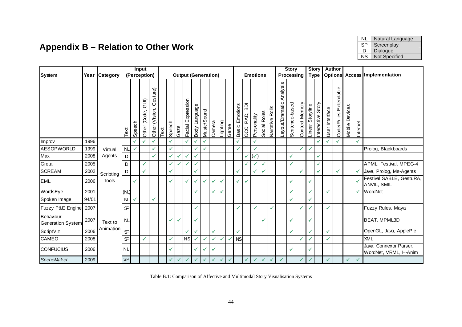# **Appendix B – Relation to Other Work**

| NI.       | Natural Language |
|-----------|------------------|
| <b>SP</b> | Screenplay       |
| Ð         | Dialogue         |
| <b>NS</b> | Not Specified    |

|                                       |       |               |              |              | Input               |                            |         |              |              |                            |               |              |              |   |                   |                   |                                         |  |                 |              |                 | <b>Story</b>                |                |                | <b>Story</b>     |                   |                | Author                |                |              |                                                 |  |
|---------------------------------------|-------|---------------|--------------|--------------|---------------------|----------------------------|---------|--------------|--------------|----------------------------|---------------|--------------|--------------|---|-------------------|-------------------|-----------------------------------------|--|-----------------|--------------|-----------------|-----------------------------|----------------|----------------|------------------|-------------------|----------------|-----------------------|----------------|--------------|-------------------------------------------------|--|
| System                                |       | Year Category |              | (Perception) |                     |                            |         |              |              | <b>Output (Generation)</b> |               |              |              |   |                   |                   |                                         |  | <b>Emotions</b> |              |                 |                             | Processing     |                |                  | <b>Type</b>       |                |                       |                |              | <b>Options Access Implementation</b>            |  |
|                                       |       |               | Text         | Speech       | (IIC<br>Other (Code | Gesture)<br>Other (Vision, | $T$ ext | Speech       | Gaze         | Expression<br>Facial       | Body Language | Music/Sound  | Camera       |   | Lighting<br>Genre | Emotions<br>Basic | $\overline{\mathsf{B}}$<br>PAD,<br>OCC, |  | Personality     | Social Roles | Narrative Rolls | Analysis<br>Layout/Dramatic | Sentence-based | Context Memory | Linear Storyline | Interactive Story | User Interface | Code/Rules Extendable | Mobile Devices | Internet     |                                                 |  |
| Improv                                | 1996  |               |              | ✓            | ✓                   | ✓                          |         |              |              | √                          |               | ✓            |              |   |                   | ✓                 |                                         |  | ✓               |              |                 |                             |                |                |                  | ✓                 | ✓              |                       |                | ✓            |                                                 |  |
| <b>AESOPWORLD</b>                     | 1999  | Virtual       | NL           | $\checkmark$ |                     | √                          |         |              |              |                            |               | ✓            |              |   |                   | ✓                 |                                         |  |                 |              |                 |                             |                |                | ✓                |                   |                |                       |                |              | Prolog, Blackboards                             |  |
| Max                                   | 2008  | Agents        | D            |              |                     | ✓                          |         | ✓            | ✓            | ✓                          | ✓             |              |              |   |                   |                   | ✓                                       |  | $(\checkmark)$  |              |                 |                             | ✓              |                |                  | ✓                 |                |                       |                |              |                                                 |  |
| Greta                                 | 2005  |               | D            |              | $\checkmark$        |                            |         |              | ✔            | $\checkmark$               | ✓             |              |              |   |                   |                   | ✓                                       |  |                 | $\checkmark$ |                 |                             | ✓              |                |                  | $\checkmark$      |                |                       |                |              | APML, Festival, MPEG-4                          |  |
| <b>SCREAM</b>                         | 2002  | Scripting     | D            |              | ✓                   |                            |         | ✓            |              |                            | ✓             |              |              |   |                   | $\checkmark$      |                                         |  |                 | $\checkmark$ |                 |                             |                | ✓              |                  | $\checkmark$      |                | ✓                     |                |              | Java, Prolog, Ms-Agents                         |  |
| <b>EML</b>                            | 2006  | <b>Tools</b>  |              | $\checkmark$ |                     |                            |         |              |              | ✓                          | $\checkmark$  | ✓            | ✓            |   |                   | $\checkmark$      | ✔                                       |  |                 |              |                 |                             |                |                | ✓                |                   |                |                       |                |              | Festival, SABLE, GestuRA,<br>ANVIL, SMIL        |  |
| WordsEye                              | 2001  |               | (NL)         |              |                     |                            |         |              |              |                            | ✓             |              | ✓            | √ |                   |                   |                                         |  |                 |              |                 |                             | ✓              |                | ✓                |                   | ✓              |                       |                | ✓            | <b>WordNet</b>                                  |  |
| Spoken Image                          | 94/01 |               | NL           | ✓            |                     | ✓                          |         |              |              |                            |               |              |              |   |                   |                   |                                         |  |                 |              |                 |                             | ✓              |                | ✓                |                   |                |                       |                |              |                                                 |  |
| Fuzzy P&E Engine                      | 2007  |               | $\mathbf{P}$ |              |                     |                            |         |              |              |                            | ✓             |              |              |   |                   | $\checkmark$      |                                         |  |                 |              | ✓               |                             |                | V              | ✓                |                   | $\checkmark$   |                       |                |              | Fuzzy Rules, Maya                               |  |
| Behaviour<br><b>Generation System</b> | 2007  | Text to       | NL           |              |                     |                            |         |              | ✓            |                            | V             |              |              |   |                   |                   |                                         |  |                 | $\checkmark$ |                 |                             | ✓              |                | ✓                |                   |                |                       |                |              | <b>BEAT, MPML3D</b>                             |  |
| ScriptViz                             | 2006  | Animation     | $\mathbf{S}$ |              |                     |                            |         |              |              | ✓                          | ✓             |              | $\checkmark$ |   |                   | ✓                 |                                         |  |                 |              |                 |                             | ✓              |                | ✓                |                   | ✓              |                       |                |              | OpenGL, Java, ApplePie                          |  |
| CAMEO                                 | 2008  |               | $\mathbf{S}$ |              | ✓                   |                            |         |              |              | NS                         |               | ✓            | ✓            | ୰ |                   | <b>NS</b>         |                                         |  |                 |              |                 |                             |                |                | ✓                |                   | ✓              |                       |                |              | XML                                             |  |
| <b>CONFUCIUS</b>                      | 2006  |               | <b>NL</b>    |              |                     |                            |         |              |              |                            |               | ✓            |              |   |                   |                   |                                         |  |                 |              |                 |                             |                |                | ✔                |                   |                |                       |                |              | Java, Connexor Parser,<br>WordNet, VRML, H-Anim |  |
| <b>SceneMaker</b>                     | 2009  |               | <b>SP</b>    |              |                     |                            |         | $\checkmark$ | $\checkmark$ | ✓                          | ✓             | $\checkmark$ | $\checkmark$ | ✓ | $\checkmark$      |                   | ✓                                       |  |                 | $\checkmark$ | $\checkmark$    | ✓                           |                |                | ✓                |                   | $\checkmark$   |                       | $\checkmark$   | $\checkmark$ |                                                 |  |

Table B.1: Comparison of Affective and Multimodal Story Visualisation Systems